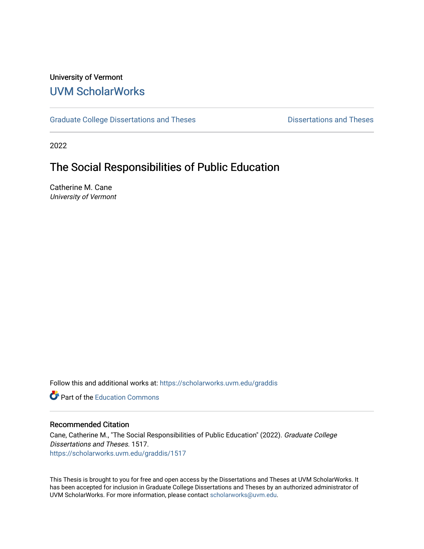## University of Vermont [UVM ScholarWorks](https://scholarworks.uvm.edu/)

[Graduate College Dissertations and Theses](https://scholarworks.uvm.edu/graddis) **Dissertations and Theses** Dissertations and Theses

2022

# The Social Responsibilities of Public Education

Catherine M. Cane University of Vermont

Follow this and additional works at: [https://scholarworks.uvm.edu/graddis](https://scholarworks.uvm.edu/graddis?utm_source=scholarworks.uvm.edu%2Fgraddis%2F1517&utm_medium=PDF&utm_campaign=PDFCoverPages)

**C** Part of the [Education Commons](http://network.bepress.com/hgg/discipline/784?utm_source=scholarworks.uvm.edu%2Fgraddis%2F1517&utm_medium=PDF&utm_campaign=PDFCoverPages)

#### Recommended Citation

Cane, Catherine M., "The Social Responsibilities of Public Education" (2022). Graduate College Dissertations and Theses. 1517. [https://scholarworks.uvm.edu/graddis/1517](https://scholarworks.uvm.edu/graddis/1517?utm_source=scholarworks.uvm.edu%2Fgraddis%2F1517&utm_medium=PDF&utm_campaign=PDFCoverPages) 

This Thesis is brought to you for free and open access by the Dissertations and Theses at UVM ScholarWorks. It has been accepted for inclusion in Graduate College Dissertations and Theses by an authorized administrator of UVM ScholarWorks. For more information, please contact [scholarworks@uvm.edu.](mailto:scholarworks@uvm.edu)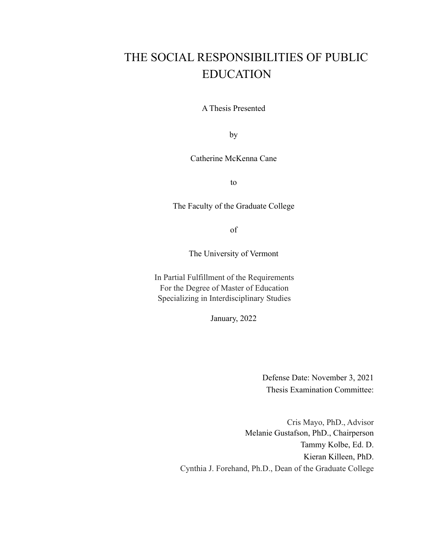# THE SOCIAL RESPONSIBILITIES OF PUBLIC EDUCATION

A Thesis Presented

by

Catherine McKenna Cane

to

The Faculty of the Graduate College

of

The University of Vermont

In Partial Fulfillment of the Requirements For the Degree of Master of Education Specializing in Interdisciplinary Studies

January, 2022

Defense Date: November 3, 2021 Thesis Examination Committee:

Cris Mayo, PhD., Advisor Melanie Gustafson, PhD., Chairperson Tammy Kolbe, Ed. D. Kieran Killeen, PhD. Cynthia J. Forehand, Ph.D., Dean of the Graduate College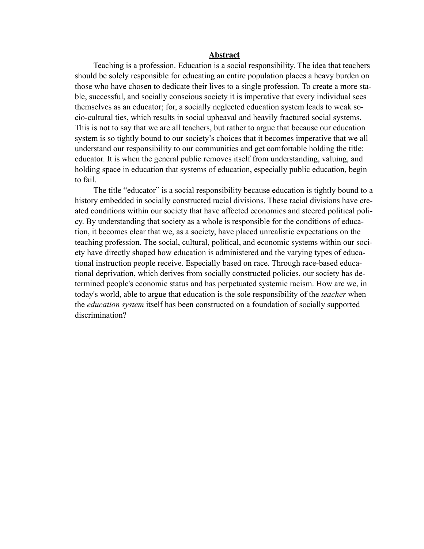#### **Abstract**

Teaching is a profession. Education is a social responsibility. The idea that teachers should be solely responsible for educating an entire population places a heavy burden on those who have chosen to dedicate their lives to a single profession. To create a more stable, successful, and socially conscious society it is imperative that every individual sees themselves as an educator; for, a socially neglected education system leads to weak socio-cultural ties, which results in social upheaval and heavily fractured social systems. This is not to say that we are all teachers, but rather to argue that because our education system is so tightly bound to our society's choices that it becomes imperative that we all understand our responsibility to our communities and get comfortable holding the title: educator. It is when the general public removes itself from understanding, valuing, and holding space in education that systems of education, especially public education, begin to fail.

The title "educator" is a social responsibility because education is tightly bound to a history embedded in socially constructed racial divisions. These racial divisions have created conditions within our society that have affected economics and steered political policy. By understanding that society as a whole is responsible for the conditions of education, it becomes clear that we, as a society, have placed unrealistic expectations on the teaching profession. The social, cultural, political, and economic systems within our society have directly shaped how education is administered and the varying types of educational instruction people receive. Especially based on race. Through race-based educational deprivation, which derives from socially constructed policies, our society has determined people's economic status and has perpetuated systemic racism. How are we, in today's world, able to argue that education is the sole responsibility of the *teacher* when the *education system* itself has been constructed on a foundation of socially supported discrimination?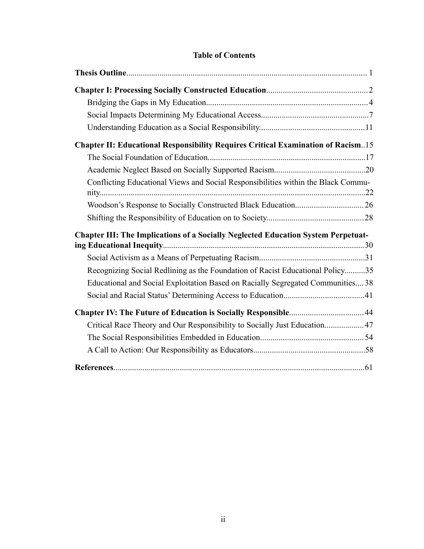## **Table of Contents**

| <b>Chapter II: Educational Responsibility Requires Critical Examination of Racism15</b>  |  |
|------------------------------------------------------------------------------------------|--|
|                                                                                          |  |
|                                                                                          |  |
| Conflicting Educational Views and Social Responsibilities within the Black Commu-        |  |
|                                                                                          |  |
|                                                                                          |  |
| <b>Chapter III: The Implications of a Socially Neglected Education System Perpetuat-</b> |  |
|                                                                                          |  |
|                                                                                          |  |
| Recognizing Social Redlining as the Foundation of Racist Educational Policy35            |  |
| Educational and Social Exploitation Based on Racially Segregated Communities 38          |  |
|                                                                                          |  |
|                                                                                          |  |
| Critical Race Theory and Our Responsibility to Socially Just Education 47                |  |
|                                                                                          |  |
|                                                                                          |  |
|                                                                                          |  |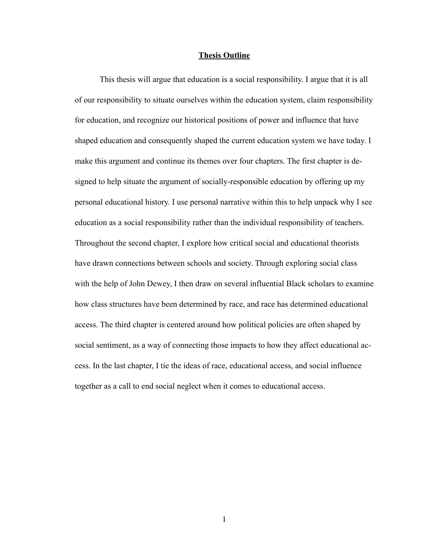#### **Thesis Outline**

This thesis will argue that education is a social responsibility. I argue that it is all of our responsibility to situate ourselves within the education system, claim responsibility for education, and recognize our historical positions of power and influence that have shaped education and consequently shaped the current education system we have today. I make this argument and continue its themes over four chapters. The first chapter is designed to help situate the argument of socially-responsible education by offering up my personal educational history. I use personal narrative within this to help unpack why I see education as a social responsibility rather than the individual responsibility of teachers. Throughout the second chapter, I explore how critical social and educational theorists have drawn connections between schools and society. Through exploring social class with the help of John Dewey, I then draw on several influential Black scholars to examine how class structures have been determined by race, and race has determined educational access. The third chapter is centered around how political policies are often shaped by social sentiment, as a way of connecting those impacts to how they affect educational access. In the last chapter, I tie the ideas of race, educational access, and social influence together as a call to end social neglect when it comes to educational access.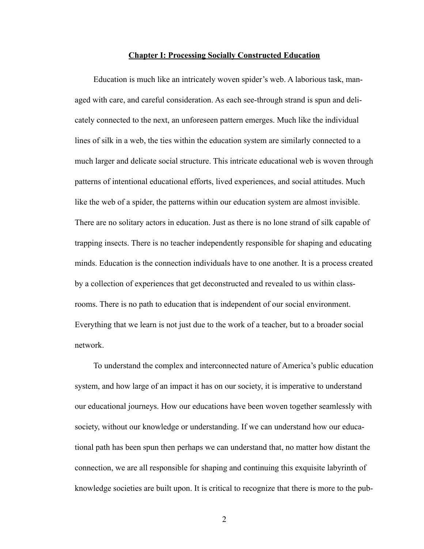#### **Chapter I: Processing Socially Constructed Education**

Education is much like an intricately woven spider's web. A laborious task, managed with care, and careful consideration. As each see-through strand is spun and delicately connected to the next, an unforeseen pattern emerges. Much like the individual lines of silk in a web, the ties within the education system are similarly connected to a much larger and delicate social structure. This intricate educational web is woven through patterns of intentional educational efforts, lived experiences, and social attitudes. Much like the web of a spider, the patterns within our education system are almost invisible. There are no solitary actors in education. Just as there is no lone strand of silk capable of trapping insects. There is no teacher independently responsible for shaping and educating minds. Education is the connection individuals have to one another. It is a process created by a collection of experiences that get deconstructed and revealed to us within classrooms. There is no path to education that is independent of our social environment. Everything that we learn is not just due to the work of a teacher, but to a broader social network.

To understand the complex and interconnected nature of America's public education system, and how large of an impact it has on our society, it is imperative to understand our educational journeys. How our educations have been woven together seamlessly with society, without our knowledge or understanding. If we can understand how our educational path has been spun then perhaps we can understand that, no matter how distant the connection, we are all responsible for shaping and continuing this exquisite labyrinth of knowledge societies are built upon. It is critical to recognize that there is more to the pub-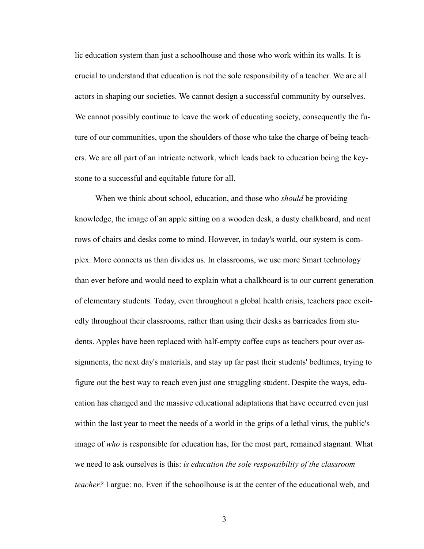lic education system than just a schoolhouse and those who work within its walls. It is crucial to understand that education is not the sole responsibility of a teacher. We are all actors in shaping our societies. We cannot design a successful community by ourselves. We cannot possibly continue to leave the work of educating society, consequently the future of our communities, upon the shoulders of those who take the charge of being teachers. We are all part of an intricate network, which leads back to education being the keystone to a successful and equitable future for all.

 When we think about school, education, and those who *should* be providing knowledge, the image of an apple sitting on a wooden desk, a dusty chalkboard, and neat rows of chairs and desks come to mind. However, in today's world, our system is complex. More connects us than divides us. In classrooms, we use more Smart technology than ever before and would need to explain what a chalkboard is to our current generation of elementary students. Today, even throughout a global health crisis, teachers pace excitedly throughout their classrooms, rather than using their desks as barricades from students. Apples have been replaced with half-empty coffee cups as teachers pour over assignments, the next day's materials, and stay up far past their students' bedtimes, trying to figure out the best way to reach even just one struggling student. Despite the ways, education has changed and the massive educational adaptations that have occurred even just within the last year to meet the needs of a world in the grips of a lethal virus, the public's image of *who* is responsible for education has, for the most part, remained stagnant. What we need to ask ourselves is this: *is education the sole responsibility of the classroom teacher?* I argue: no. Even if the schoolhouse is at the center of the educational web, and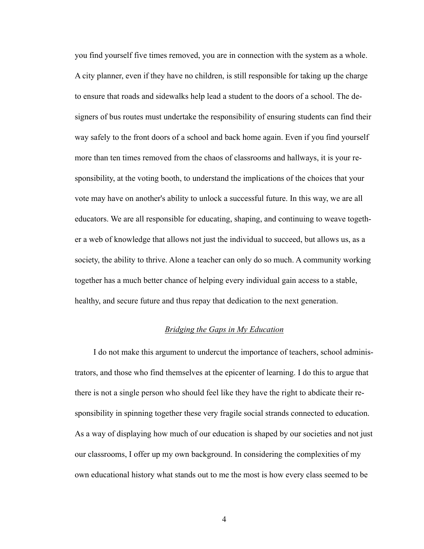you find yourself five times removed, you are in connection with the system as a whole. A city planner, even if they have no children, is still responsible for taking up the charge to ensure that roads and sidewalks help lead a student to the doors of a school. The designers of bus routes must undertake the responsibility of ensuring students can find their way safely to the front doors of a school and back home again. Even if you find yourself more than ten times removed from the chaos of classrooms and hallways, it is your responsibility, at the voting booth, to understand the implications of the choices that your vote may have on another's ability to unlock a successful future. In this way, we are all educators. We are all responsible for educating, shaping, and continuing to weave together a web of knowledge that allows not just the individual to succeed, but allows us, as a society, the ability to thrive. Alone a teacher can only do so much. A community working together has a much better chance of helping every individual gain access to a stable, healthy, and secure future and thus repay that dedication to the next generation.

## *Bridging the Gaps in My Education*

I do not make this argument to undercut the importance of teachers, school administrators, and those who find themselves at the epicenter of learning. I do this to argue that there is not a single person who should feel like they have the right to abdicate their responsibility in spinning together these very fragile social strands connected to education. As a way of displaying how much of our education is shaped by our societies and not just our classrooms, I offer up my own background. In considering the complexities of my own educational history what stands out to me the most is how every class seemed to be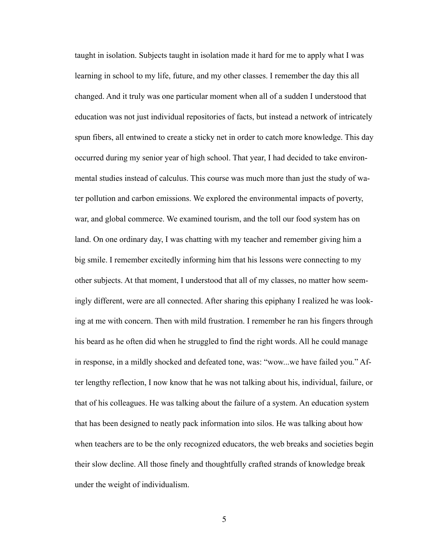taught in isolation. Subjects taught in isolation made it hard for me to apply what I was learning in school to my life, future, and my other classes. I remember the day this all changed. And it truly was one particular moment when all of a sudden I understood that education was not just individual repositories of facts, but instead a network of intricately spun fibers, all entwined to create a sticky net in order to catch more knowledge. This day occurred during my senior year of high school. That year, I had decided to take environmental studies instead of calculus. This course was much more than just the study of water pollution and carbon emissions. We explored the environmental impacts of poverty, war, and global commerce. We examined tourism, and the toll our food system has on land. On one ordinary day, I was chatting with my teacher and remember giving him a big smile. I remember excitedly informing him that his lessons were connecting to my other subjects. At that moment, I understood that all of my classes, no matter how seemingly different, were are all connected. After sharing this epiphany I realized he was looking at me with concern. Then with mild frustration. I remember he ran his fingers through his beard as he often did when he struggled to find the right words. All he could manage in response, in a mildly shocked and defeated tone, was: "wow...we have failed you." After lengthy reflection, I now know that he was not talking about his, individual, failure, or that of his colleagues. He was talking about the failure of a system. An education system that has been designed to neatly pack information into silos. He was talking about how when teachers are to be the only recognized educators, the web breaks and societies begin their slow decline. All those finely and thoughtfully crafted strands of knowledge break under the weight of individualism.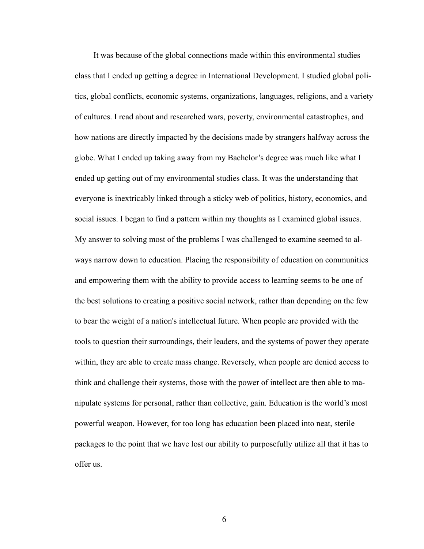It was because of the global connections made within this environmental studies class that I ended up getting a degree in International Development. I studied global politics, global conflicts, economic systems, organizations, languages, religions, and a variety of cultures. I read about and researched wars, poverty, environmental catastrophes, and how nations are directly impacted by the decisions made by strangers halfway across the globe. What I ended up taking away from my Bachelor's degree was much like what I ended up getting out of my environmental studies class. It was the understanding that everyone is inextricably linked through a sticky web of politics, history, economics, and social issues. I began to find a pattern within my thoughts as I examined global issues. My answer to solving most of the problems I was challenged to examine seemed to always narrow down to education. Placing the responsibility of education on communities and empowering them with the ability to provide access to learning seems to be one of the best solutions to creating a positive social network, rather than depending on the few to bear the weight of a nation's intellectual future. When people are provided with the tools to question their surroundings, their leaders, and the systems of power they operate within, they are able to create mass change. Reversely, when people are denied access to think and challenge their systems, those with the power of intellect are then able to manipulate systems for personal, rather than collective, gain. Education is the world's most powerful weapon. However, for too long has education been placed into neat, sterile packages to the point that we have lost our ability to purposefully utilize all that it has to offer us.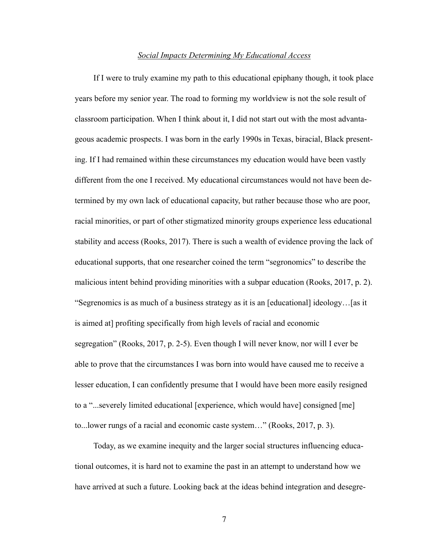#### *Social Impacts Determining My Educational Access*

If I were to truly examine my path to this educational epiphany though, it took place years before my senior year. The road to forming my worldview is not the sole result of classroom participation. When I think about it, I did not start out with the most advantageous academic prospects. I was born in the early 1990s in Texas, biracial, Black presenting. If I had remained within these circumstances my education would have been vastly different from the one I received. My educational circumstances would not have been determined by my own lack of educational capacity, but rather because those who are poor, racial minorities, or part of other stigmatized minority groups experience less educational stability and access (Rooks, 2017). There is such a wealth of evidence proving the lack of educational supports, that one researcher coined the term "segronomics" to describe the malicious intent behind providing minorities with a subpar education (Rooks, 2017, p. 2). "Segrenomics is as much of a business strategy as it is an [educational] ideology…[as it is aimed at] profiting specifically from high levels of racial and economic segregation" (Rooks, 2017, p. 2-5). Even though I will never know, nor will I ever be able to prove that the circumstances I was born into would have caused me to receive a lesser education, I can confidently presume that I would have been more easily resigned to a "...severely limited educational [experience, which would have] consigned [me] to...lower rungs of a racial and economic caste system…" (Rooks, 2017, p. 3).

Today, as we examine inequity and the larger social structures influencing educational outcomes, it is hard not to examine the past in an attempt to understand how we have arrived at such a future. Looking back at the ideas behind integration and desegre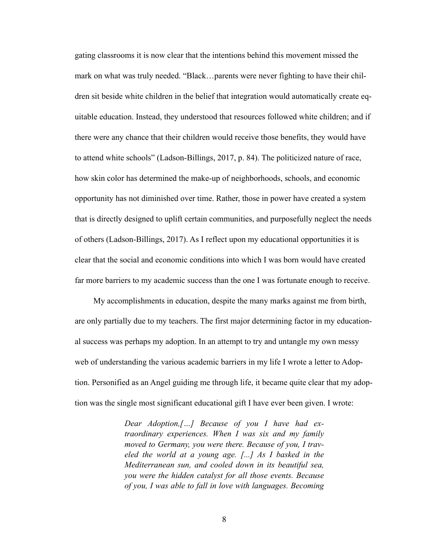gating classrooms it is now clear that the intentions behind this movement missed the mark on what was truly needed. "Black…parents were never fighting to have their children sit beside white children in the belief that integration would automatically create equitable education. Instead, they understood that resources followed white children; and if there were any chance that their children would receive those benefits, they would have to attend white schools" (Ladson-Billings, 2017, p. 84). The politicized nature of race, how skin color has determined the make-up of neighborhoods, schools, and economic opportunity has not diminished over time. Rather, those in power have created a system that is directly designed to uplift certain communities, and purposefully neglect the needs of others (Ladson-Billings, 2017). As I reflect upon my educational opportunities it is clear that the social and economic conditions into which I was born would have created far more barriers to my academic success than the one I was fortunate enough to receive.

My accomplishments in education, despite the many marks against me from birth, are only partially due to my teachers. The first major determining factor in my educational success was perhaps my adoption. In an attempt to try and untangle my own messy web of understanding the various academic barriers in my life I wrote a letter to Adoption. Personified as an Angel guiding me through life, it became quite clear that my adoption was the single most significant educational gift I have ever been given. I wrote:

> *Dear Adoption,[…] Because of you I have had extraordinary experiences. When I was six and my family moved to Germany, you were there. Because of you, I traveled the world at a young age. [...] As I basked in the Mediterranean sun, and cooled down in its beautiful sea, you were the hidden catalyst for all those events. Because of you, I was able to fall in love with languages. Becoming*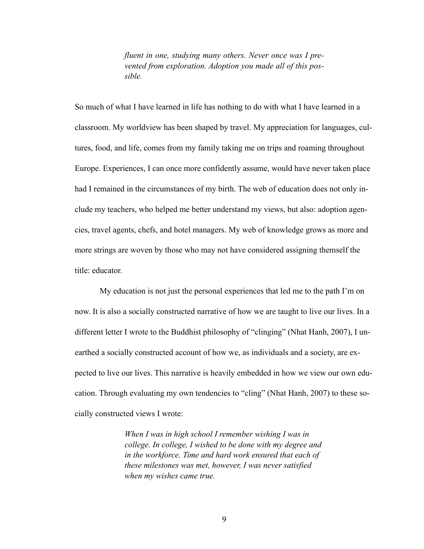*fluent in one, studying many others. Never once was I prevented from exploration. Adoption you made all of this possible.* 

So much of what I have learned in life has nothing to do with what I have learned in a classroom. My worldview has been shaped by travel. My appreciation for languages, cultures, food, and life, comes from my family taking me on trips and roaming throughout Europe. Experiences, I can once more confidently assume, would have never taken place had I remained in the circumstances of my birth. The web of education does not only include my teachers, who helped me better understand my views, but also: adoption agencies, travel agents, chefs, and hotel managers. My web of knowledge grows as more and more strings are woven by those who may not have considered assigning themself the title: educator.

 My education is not just the personal experiences that led me to the path I'm on now. It is also a socially constructed narrative of how we are taught to live our lives. In a different letter I wrote to the Buddhist philosophy of "clinging" (Nhat Hanh, 2007), I unearthed a socially constructed account of how we, as individuals and a society, are expected to live our lives. This narrative is heavily embedded in how we view our own education. Through evaluating my own tendencies to "cling" (Nhat Hanh, 2007) to these socially constructed views I wrote:

> *When I was in high school I remember wishing I was in college. In college, I wished to be done with my degree and in the workforce. Time and hard work ensured that each of these milestones was met, however, I was never satisfied when my wishes came true.*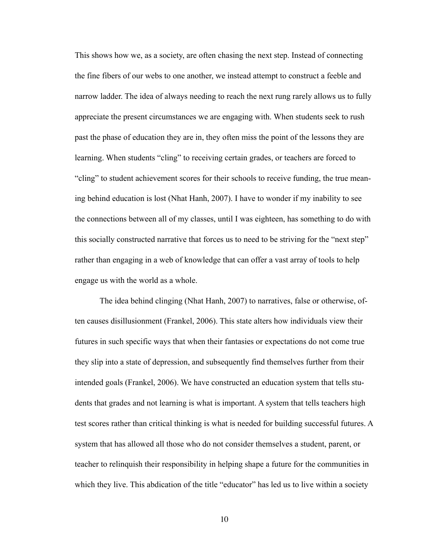This shows how we, as a society, are often chasing the next step. Instead of connecting the fine fibers of our webs to one another, we instead attempt to construct a feeble and narrow ladder. The idea of always needing to reach the next rung rarely allows us to fully appreciate the present circumstances we are engaging with. When students seek to rush past the phase of education they are in, they often miss the point of the lessons they are learning. When students "cling" to receiving certain grades, or teachers are forced to "cling" to student achievement scores for their schools to receive funding, the true meaning behind education is lost (Nhat Hanh, 2007). I have to wonder if my inability to see the connections between all of my classes, until I was eighteen, has something to do with this socially constructed narrative that forces us to need to be striving for the "next step" rather than engaging in a web of knowledge that can offer a vast array of tools to help engage us with the world as a whole.

 The idea behind clinging (Nhat Hanh, 2007) to narratives, false or otherwise, often causes disillusionment (Frankel, 2006). This state alters how individuals view their futures in such specific ways that when their fantasies or expectations do not come true they slip into a state of depression, and subsequently find themselves further from their intended goals (Frankel, 2006). We have constructed an education system that tells students that grades and not learning is what is important. A system that tells teachers high test scores rather than critical thinking is what is needed for building successful futures. A system that has allowed all those who do not consider themselves a student, parent, or teacher to relinquish their responsibility in helping shape a future for the communities in which they live. This abdication of the title "educator" has led us to live within a society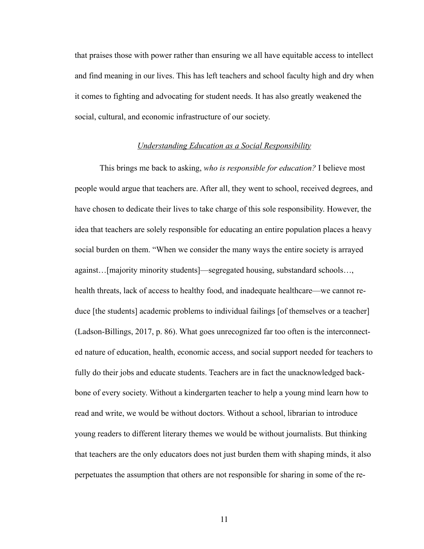that praises those with power rather than ensuring we all have equitable access to intellect and find meaning in our lives. This has left teachers and school faculty high and dry when it comes to fighting and advocating for student needs. It has also greatly weakened the social, cultural, and economic infrastructure of our society.

#### *Understanding Education as a Social Responsibility*

 This brings me back to asking, *who is responsible for education?* I believe most people would argue that teachers are. After all, they went to school, received degrees, and have chosen to dedicate their lives to take charge of this sole responsibility. However, the idea that teachers are solely responsible for educating an entire population places a heavy social burden on them. "When we consider the many ways the entire society is arrayed against…[majority minority students]—segregated housing, substandard schools…, health threats, lack of access to healthy food, and inadequate healthcare—we cannot reduce [the students] academic problems to individual failings [of themselves or a teacher] (Ladson-Billings, 2017, p. 86). What goes unrecognized far too often is the interconnected nature of education, health, economic access, and social support needed for teachers to fully do their jobs and educate students. Teachers are in fact the unacknowledged backbone of every society. Without a kindergarten teacher to help a young mind learn how to read and write, we would be without doctors. Without a school, librarian to introduce young readers to different literary themes we would be without journalists. But thinking that teachers are the only educators does not just burden them with shaping minds, it also perpetuates the assumption that others are not responsible for sharing in some of the re-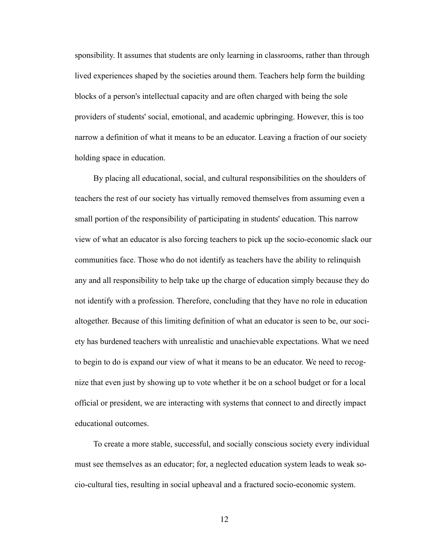sponsibility. It assumes that students are only learning in classrooms, rather than through lived experiences shaped by the societies around them. Teachers help form the building blocks of a person's intellectual capacity and are often charged with being the sole providers of students' social, emotional, and academic upbringing. However, this is too narrow a definition of what it means to be an educator. Leaving a fraction of our society holding space in education.

By placing all educational, social, and cultural responsibilities on the shoulders of teachers the rest of our society has virtually removed themselves from assuming even a small portion of the responsibility of participating in students' education. This narrow view of what an educator is also forcing teachers to pick up the socio-economic slack our communities face. Those who do not identify as teachers have the ability to relinquish any and all responsibility to help take up the charge of education simply because they do not identify with a profession. Therefore, concluding that they have no role in education altogether. Because of this limiting definition of what an educator is seen to be, our society has burdened teachers with unrealistic and unachievable expectations. What we need to begin to do is expand our view of what it means to be an educator. We need to recognize that even just by showing up to vote whether it be on a school budget or for a local official or president, we are interacting with systems that connect to and directly impact educational outcomes.

To create a more stable, successful, and socially conscious society every individual must see themselves as an educator; for, a neglected education system leads to weak socio-cultural ties, resulting in social upheaval and a fractured socio-economic system.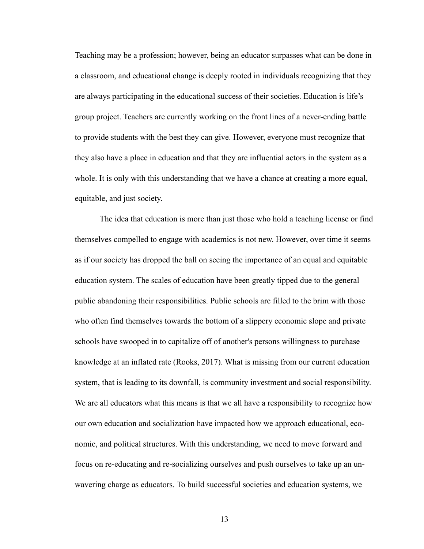Teaching may be a profession; however, being an educator surpasses what can be done in a classroom, and educational change is deeply rooted in individuals recognizing that they are always participating in the educational success of their societies. Education is life's group project. Teachers are currently working on the front lines of a never-ending battle to provide students with the best they can give. However, everyone must recognize that they also have a place in education and that they are influential actors in the system as a whole. It is only with this understanding that we have a chance at creating a more equal, equitable, and just society.

 The idea that education is more than just those who hold a teaching license or find themselves compelled to engage with academics is not new. However, over time it seems as if our society has dropped the ball on seeing the importance of an equal and equitable education system. The scales of education have been greatly tipped due to the general public abandoning their responsibilities. Public schools are filled to the brim with those who often find themselves towards the bottom of a slippery economic slope and private schools have swooped in to capitalize off of another's persons willingness to purchase knowledge at an inflated rate (Rooks, 2017). What is missing from our current education system, that is leading to its downfall, is community investment and social responsibility. We are all educators what this means is that we all have a responsibility to recognize how our own education and socialization have impacted how we approach educational, economic, and political structures. With this understanding, we need to move forward and focus on re-educating and re-socializing ourselves and push ourselves to take up an unwavering charge as educators. To build successful societies and education systems, we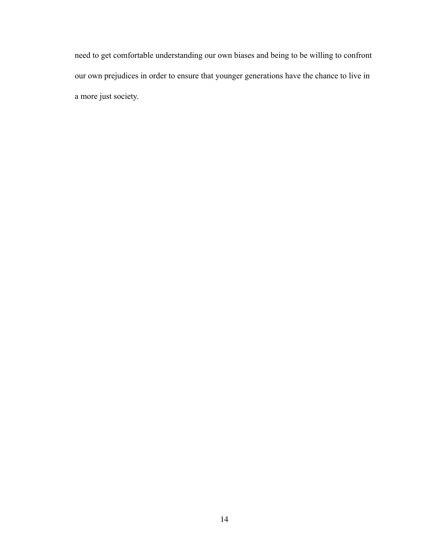need to get comfortable understanding our own biases and being to be willing to confront our own prejudices in order to ensure that younger generations have the chance to live in a more just society.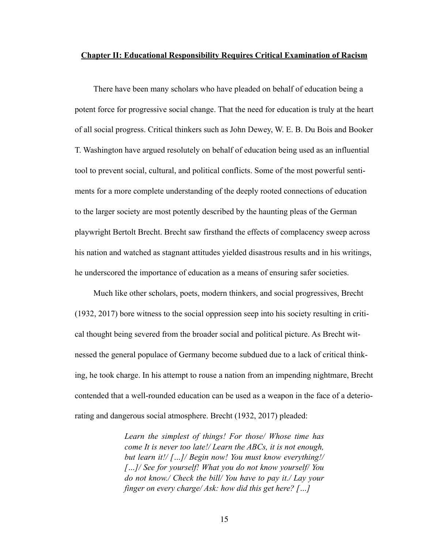#### **Chapter II: Educational Responsibility Requires Critical Examination of Racism**

There have been many scholars who have pleaded on behalf of education being a potent force for progressive social change. That the need for education is truly at the heart of all social progress. Critical thinkers such as John Dewey, W. E. B. Du Bois and Booker T. Washington have argued resolutely on behalf of education being used as an influential tool to prevent social, cultural, and political conflicts. Some of the most powerful sentiments for a more complete understanding of the deeply rooted connections of education to the larger society are most potently described by the haunting pleas of the German playwright Bertolt Brecht. Brecht saw firsthand the effects of complacency sweep across his nation and watched as stagnant attitudes yielded disastrous results and in his writings, he underscored the importance of education as a means of ensuring safer societies.

Much like other scholars, poets, modern thinkers, and social progressives, Brecht (1932, 2017) bore witness to the social oppression seep into his society resulting in critical thought being severed from the broader social and political picture. As Brecht witnessed the general populace of Germany become subdued due to a lack of critical thinking, he took charge. In his attempt to rouse a nation from an impending nightmare, Brecht contended that a well-rounded education can be used as a weapon in the face of a deteriorating and dangerous social atmosphere. Brecht (1932, 2017) pleaded:

> *Learn the simplest of things! For those/ Whose time has come It is never too late!/ Learn the ABCs, it is not enough, but learn it!/ […]/ Begin now! You must know everything!/ […]/ See for yourself! What you do not know yourself/ You do not know./ Check the bill/ You have to pay it./ Lay your finger on every charge/ Ask: how did this get here? […]*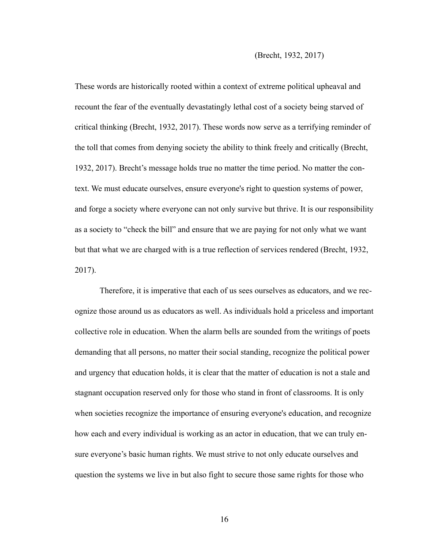These words are historically rooted within a context of extreme political upheaval and recount the fear of the eventually devastatingly lethal cost of a society being starved of critical thinking (Brecht, 1932, 2017). These words now serve as a terrifying reminder of the toll that comes from denying society the ability to think freely and critically (Brecht, 1932, 2017). Brecht's message holds true no matter the time period. No matter the context. We must educate ourselves, ensure everyone's right to question systems of power, and forge a society where everyone can not only survive but thrive. It is our responsibility as a society to "check the bill" and ensure that we are paying for not only what we want but that what we are charged with is a true reflection of services rendered (Brecht, 1932, 2017).

 Therefore, it is imperative that each of us sees ourselves as educators, and we recognize those around us as educators as well. As individuals hold a priceless and important collective role in education. When the alarm bells are sounded from the writings of poets demanding that all persons, no matter their social standing, recognize the political power and urgency that education holds, it is clear that the matter of education is not a stale and stagnant occupation reserved only for those who stand in front of classrooms. It is only when societies recognize the importance of ensuring everyone's education, and recognize how each and every individual is working as an actor in education, that we can truly ensure everyone's basic human rights. We must strive to not only educate ourselves and question the systems we live in but also fight to secure those same rights for those who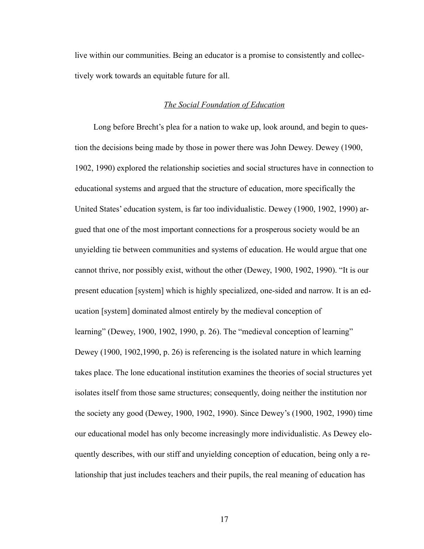live within our communities. Being an educator is a promise to consistently and collectively work towards an equitable future for all.

#### *The Social Foundation of Education*

Long before Brecht's plea for a nation to wake up, look around, and begin to question the decisions being made by those in power there was John Dewey. Dewey (1900, 1902, 1990) explored the relationship societies and social structures have in connection to educational systems and argued that the structure of education, more specifically the United States' education system, is far too individualistic. Dewey (1900, 1902, 1990) argued that one of the most important connections for a prosperous society would be an unyielding tie between communities and systems of education. He would argue that one cannot thrive, nor possibly exist, without the other (Dewey, 1900, 1902, 1990). "It is our present education [system] which is highly specialized, one-sided and narrow. It is an education [system] dominated almost entirely by the medieval conception of learning" (Dewey, 1900, 1902, 1990, p. 26). The "medieval conception of learning" Dewey (1900, 1902,1990, p. 26) is referencing is the isolated nature in which learning takes place. The lone educational institution examines the theories of social structures yet isolates itself from those same structures; consequently, doing neither the institution nor the society any good (Dewey, 1900, 1902, 1990). Since Dewey's (1900, 1902, 1990) time our educational model has only become increasingly more individualistic. As Dewey eloquently describes, with our stiff and unyielding conception of education, being only a relationship that just includes teachers and their pupils, the real meaning of education has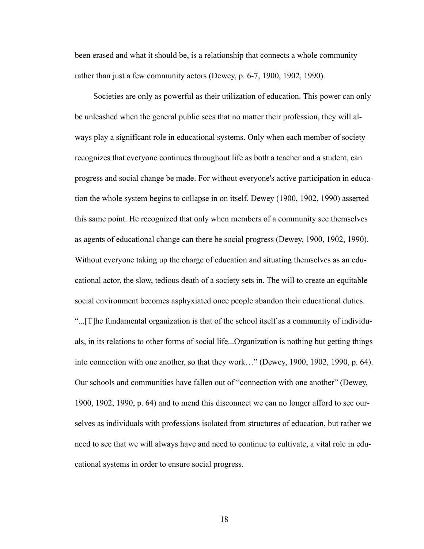been erased and what it should be, is a relationship that connects a whole community rather than just a few community actors (Dewey, p. 6-7, 1900, 1902, 1990).

Societies are only as powerful as their utilization of education. This power can only be unleashed when the general public sees that no matter their profession, they will always play a significant role in educational systems. Only when each member of society recognizes that everyone continues throughout life as both a teacher and a student, can progress and social change be made. For without everyone's active participation in education the whole system begins to collapse in on itself. Dewey (1900, 1902, 1990) asserted this same point. He recognized that only when members of a community see themselves as agents of educational change can there be social progress (Dewey, 1900, 1902, 1990). Without everyone taking up the charge of education and situating themselves as an educational actor, the slow, tedious death of a society sets in. The will to create an equitable social environment becomes asphyxiated once people abandon their educational duties. "...[T]he fundamental organization is that of the school itself as a community of individuals, in its relations to other forms of social life...Organization is nothing but getting things into connection with one another, so that they work…" (Dewey, 1900, 1902, 1990, p. 64). Our schools and communities have fallen out of "connection with one another" (Dewey, 1900, 1902, 1990, p. 64) and to mend this disconnect we can no longer afford to see ourselves as individuals with professions isolated from structures of education, but rather we need to see that we will always have and need to continue to cultivate, a vital role in educational systems in order to ensure social progress.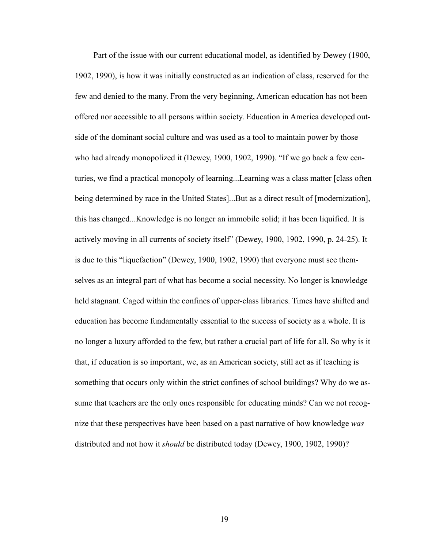Part of the issue with our current educational model, as identified by Dewey (1900, 1902, 1990), is how it was initially constructed as an indication of class, reserved for the few and denied to the many. From the very beginning, American education has not been offered nor accessible to all persons within society. Education in America developed outside of the dominant social culture and was used as a tool to maintain power by those who had already monopolized it (Dewey, 1900, 1902, 1990). "If we go back a few centuries, we find a practical monopoly of learning...Learning was a class matter [class often being determined by race in the United States]...But as a direct result of [modernization], this has changed...Knowledge is no longer an immobile solid; it has been liquified. It is actively moving in all currents of society itself" (Dewey, 1900, 1902, 1990, p. 24-25). It is due to this "liquefaction" (Dewey, 1900, 1902, 1990) that everyone must see themselves as an integral part of what has become a social necessity. No longer is knowledge held stagnant. Caged within the confines of upper-class libraries. Times have shifted and education has become fundamentally essential to the success of society as a whole. It is no longer a luxury afforded to the few, but rather a crucial part of life for all. So why is it that, if education is so important, we, as an American society, still act as if teaching is something that occurs only within the strict confines of school buildings? Why do we assume that teachers are the only ones responsible for educating minds? Can we not recognize that these perspectives have been based on a past narrative of how knowledge *was* distributed and not how it *should* be distributed today (Dewey, 1900, 1902, 1990)?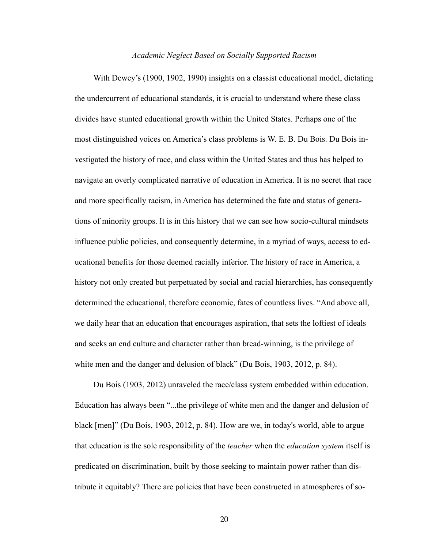#### *Academic Neglect Based on Socially Supported Racism*

With Dewey's (1900, 1902, 1990) insights on a classist educational model, dictating the undercurrent of educational standards, it is crucial to understand where these class divides have stunted educational growth within the United States. Perhaps one of the most distinguished voices on America's class problems is W. E. B. Du Bois. Du Bois investigated the history of race, and class within the United States and thus has helped to navigate an overly complicated narrative of education in America. It is no secret that race and more specifically racism, in America has determined the fate and status of generations of minority groups. It is in this history that we can see how socio-cultural mindsets influence public policies, and consequently determine, in a myriad of ways, access to educational benefits for those deemed racially inferior. The history of race in America, a history not only created but perpetuated by social and racial hierarchies, has consequently determined the educational, therefore economic, fates of countless lives. "And above all, we daily hear that an education that encourages aspiration, that sets the loftiest of ideals and seeks an end culture and character rather than bread-winning, is the privilege of white men and the danger and delusion of black" (Du Bois, 1903, 2012, p. 84).

Du Bois (1903, 2012) unraveled the race/class system embedded within education. Education has always been "...the privilege of white men and the danger and delusion of black [men]" (Du Bois, 1903, 2012, p. 84). How are we, in today's world, able to argue that education is the sole responsibility of the *teacher* when the *education system* itself is predicated on discrimination, built by those seeking to maintain power rather than distribute it equitably? There are policies that have been constructed in atmospheres of so-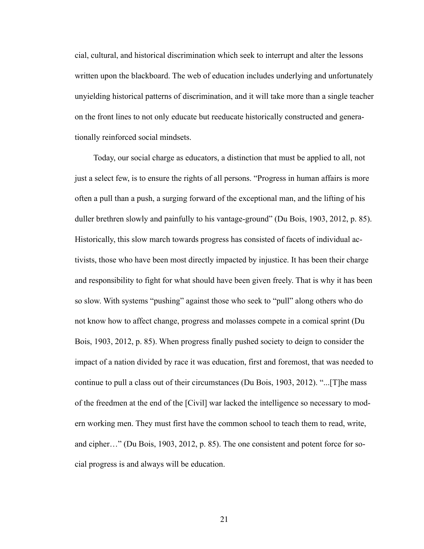cial, cultural, and historical discrimination which seek to interrupt and alter the lessons written upon the blackboard. The web of education includes underlying and unfortunately unyielding historical patterns of discrimination, and it will take more than a single teacher on the front lines to not only educate but reeducate historically constructed and generationally reinforced social mindsets.

Today, our social charge as educators, a distinction that must be applied to all, not just a select few, is to ensure the rights of all persons. "Progress in human affairs is more often a pull than a push, a surging forward of the exceptional man, and the lifting of his duller brethren slowly and painfully to his vantage-ground" (Du Bois, 1903, 2012, p. 85). Historically, this slow march towards progress has consisted of facets of individual activists, those who have been most directly impacted by injustice. It has been their charge and responsibility to fight for what should have been given freely. That is why it has been so slow. With systems "pushing" against those who seek to "pull" along others who do not know how to affect change, progress and molasses compete in a comical sprint (Du Bois, 1903, 2012, p. 85). When progress finally pushed society to deign to consider the impact of a nation divided by race it was education, first and foremost, that was needed to continue to pull a class out of their circumstances (Du Bois, 1903, 2012). "...[T]he mass of the freedmen at the end of the [Civil] war lacked the intelligence so necessary to modern working men. They must first have the common school to teach them to read, write, and cipher…" (Du Bois, 1903, 2012, p. 85). The one consistent and potent force for social progress is and always will be education.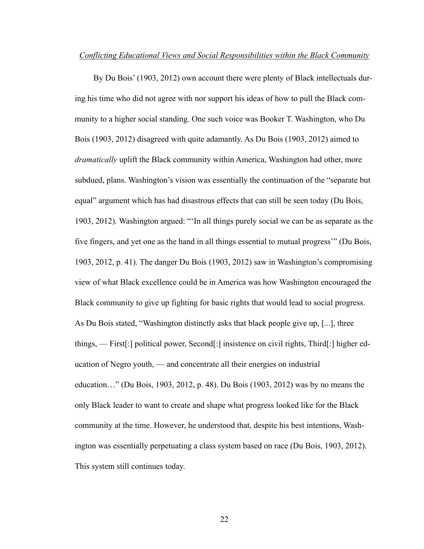#### *Conflicting Educational Views and Social Responsibilities within the Black Community*

By Du Bois' (1903, 2012) own account there were plenty of Black intellectuals during his time who did not agree with nor support his ideas of how to pull the Black community to a higher social standing. One such voice was Booker T. Washington, who Du Bois (1903, 2012) disagreed with quite adamantly. As Du Bois (1903, 2012) aimed to *dramatically* uplift the Black community within America, Washington had other, more subdued, plans. Washington's vision was essentially the continuation of the "separate but equal" argument which has had disastrous effects that can still be seen today (Du Bois, 1903, 2012). Washington argued: "'In all things purely social we can be as separate as the five fingers, and yet one as the hand in all things essential to mutual progress'" (Du Bois, 1903, 2012, p. 41). The danger Du Bois (1903, 2012) saw in Washington's compromising view of what Black excellence could be in America was how Washington encouraged the Black community to give up fighting for basic rights that would lead to social progress. As Du Bois stated, "Washington distinctly asks that black people give up, [...], three things, — First[:] political power, Second[:] insistence on civil rights, Third[:] higher education of Negro youth, — and concentrate all their energies on industrial education…" (Du Bois, 1903, 2012, p. 48). Du Bois (1903, 2012) was by no means the only Black leader to want to create and shape what progress looked like for the Black community at the time. However, he understood that, despite his best intentions, Washington was essentially perpetuating a class system based on race (Du Bois, 1903, 2012). This system still continues today.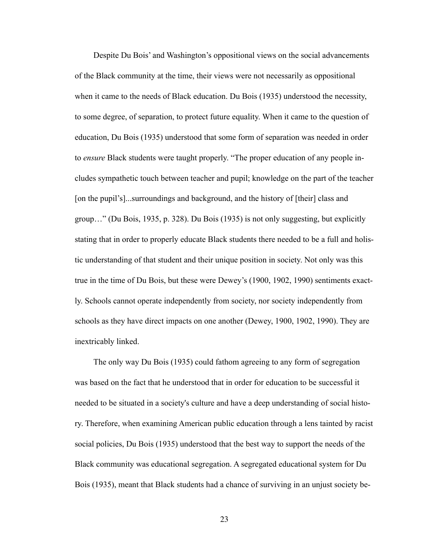Despite Du Bois' and Washington's oppositional views on the social advancements of the Black community at the time, their views were not necessarily as oppositional when it came to the needs of Black education. Du Bois (1935) understood the necessity, to some degree, of separation, to protect future equality. When it came to the question of education, Du Bois (1935) understood that some form of separation was needed in order to *ensure* Black students were taught properly. "The proper education of any people includes sympathetic touch between teacher and pupil; knowledge on the part of the teacher [on the pupil's]...surroundings and background, and the history of [their] class and group…" (Du Bois, 1935, p. 328). Du Bois (1935) is not only suggesting, but explicitly stating that in order to properly educate Black students there needed to be a full and holistic understanding of that student and their unique position in society. Not only was this true in the time of Du Bois, but these were Dewey's (1900, 1902, 1990) sentiments exactly. Schools cannot operate independently from society, nor society independently from schools as they have direct impacts on one another (Dewey, 1900, 1902, 1990). They are inextricably linked.

The only way Du Bois (1935) could fathom agreeing to any form of segregation was based on the fact that he understood that in order for education to be successful it needed to be situated in a society's culture and have a deep understanding of social history. Therefore, when examining American public education through a lens tainted by racist social policies, Du Bois (1935) understood that the best way to support the needs of the Black community was educational segregation. A segregated educational system for Du Bois (1935), meant that Black students had a chance of surviving in an unjust society be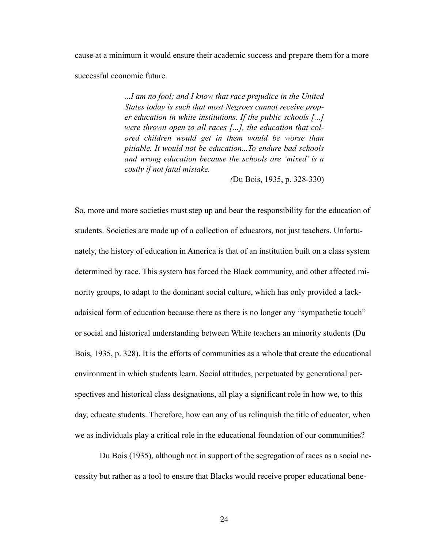cause at a minimum it would ensure their academic success and prepare them for a more successful economic future.

> *...I am no fool; and I know that race prejudice in the United States today is such that most Negroes cannot receive proper education in white institutions. If the public schools [...] were thrown open to all races [...], the education that colored children would get in them would be worse than pitiable. It would not be education...To endure bad schools and wrong education because the schools are 'mixed' is a costly if not fatal mistake.*

> > *(*Du Bois, 1935, p. 328-330)

So, more and more societies must step up and bear the responsibility for the education of students. Societies are made up of a collection of educators, not just teachers. Unfortunately, the history of education in America is that of an institution built on a class system determined by race. This system has forced the Black community, and other affected minority groups, to adapt to the dominant social culture, which has only provided a lackadaisical form of education because there as there is no longer any "sympathetic touch" or social and historical understanding between White teachers an minority students (Du Bois, 1935, p. 328). It is the efforts of communities as a whole that create the educational environment in which students learn. Social attitudes, perpetuated by generational perspectives and historical class designations, all play a significant role in how we, to this day, educate students. Therefore, how can any of us relinquish the title of educator, when we as individuals play a critical role in the educational foundation of our communities?

 Du Bois (1935), although not in support of the segregation of races as a social necessity but rather as a tool to ensure that Blacks would receive proper educational bene-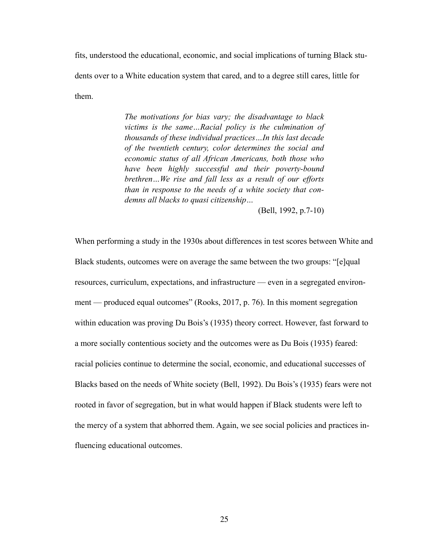fits, understood the educational, economic, and social implications of turning Black students over to a White education system that cared, and to a degree still cares, little for them.

> *The motivations for bias vary; the disadvantage to black victims is the same…Racial policy is the culmination of thousands of these individual practices…In this last decade of the twentieth century, color determines the social and economic status of all African Americans, both those who have been highly successful and their poverty-bound brethren…We rise and fall less as a result of our efforts than in response to the needs of a white society that condemns all blacks to quasi citizenship…*

> > (Bell, 1992, p.7-10)

When performing a study in the 1930s about differences in test scores between White and Black students, outcomes were on average the same between the two groups: "[e]qual resources, curriculum, expectations, and infrastructure — even in a segregated environment — produced equal outcomes" (Rooks, 2017, p. 76). In this moment segregation within education was proving Du Bois's (1935) theory correct. However, fast forward to a more socially contentious society and the outcomes were as Du Bois (1935) feared: racial policies continue to determine the social, economic, and educational successes of Blacks based on the needs of White society (Bell, 1992). Du Bois's (1935) fears were not rooted in favor of segregation, but in what would happen if Black students were left to the mercy of a system that abhorred them. Again, we see social policies and practices influencing educational outcomes.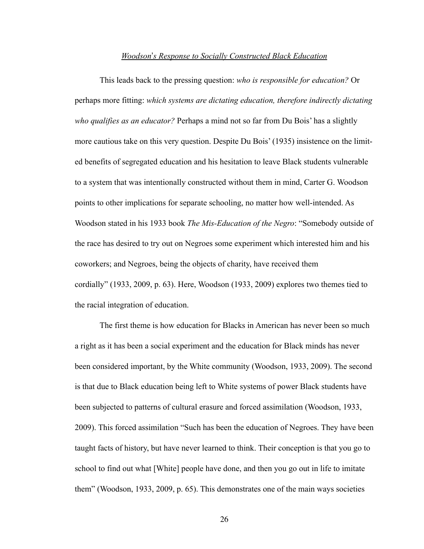#### *Woodson*'*s Response to Socially Constructed Black Education*

 This leads back to the pressing question: *who is responsible for education?* Or perhaps more fitting: *which systems are dictating education, therefore indirectly dictating who qualifies as an educator?* Perhaps a mind not so far from Du Bois' has a slightly more cautious take on this very question. Despite Du Bois' (1935) insistence on the limited benefits of segregated education and his hesitation to leave Black students vulnerable to a system that was intentionally constructed without them in mind, Carter G. Woodson points to other implications for separate schooling, no matter how well-intended. As Woodson stated in his 1933 book *The Mis-Education of the Negro*: "Somebody outside of the race has desired to try out on Negroes some experiment which interested him and his coworkers; and Negroes, being the objects of charity, have received them cordially" (1933, 2009, p. 63). Here, Woodson (1933, 2009) explores two themes tied to the racial integration of education.

 The first theme is how education for Blacks in American has never been so much a right as it has been a social experiment and the education for Black minds has never been considered important, by the White community (Woodson, 1933, 2009). The second is that due to Black education being left to White systems of power Black students have been subjected to patterns of cultural erasure and forced assimilation (Woodson, 1933, 2009). This forced assimilation "Such has been the education of Negroes. They have been taught facts of history, but have never learned to think. Their conception is that you go to school to find out what [White] people have done, and then you go out in life to imitate them" (Woodson, 1933, 2009, p. 65). This demonstrates one of the main ways societies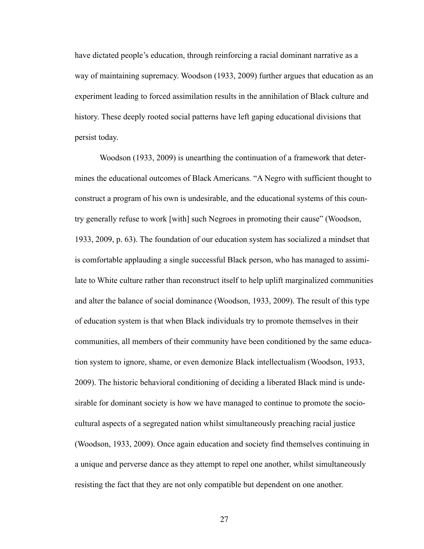have dictated people's education, through reinforcing a racial dominant narrative as a way of maintaining supremacy. Woodson (1933, 2009) further argues that education as an experiment leading to forced assimilation results in the annihilation of Black culture and history. These deeply rooted social patterns have left gaping educational divisions that persist today.

 Woodson (1933, 2009) is unearthing the continuation of a framework that determines the educational outcomes of Black Americans. "A Negro with sufficient thought to construct a program of his own is undesirable, and the educational systems of this country generally refuse to work [with] such Negroes in promoting their cause" (Woodson, 1933, 2009, p. 63). The foundation of our education system has socialized a mindset that is comfortable applauding a single successful Black person, who has managed to assimilate to White culture rather than reconstruct itself to help uplift marginalized communities and alter the balance of social dominance (Woodson, 1933, 2009). The result of this type of education system is that when Black individuals try to promote themselves in their communities, all members of their community have been conditioned by the same education system to ignore, shame, or even demonize Black intellectualism (Woodson, 1933, 2009). The historic behavioral conditioning of deciding a liberated Black mind is undesirable for dominant society is how we have managed to continue to promote the sociocultural aspects of a segregated nation whilst simultaneously preaching racial justice (Woodson, 1933, 2009). Once again education and society find themselves continuing in a unique and perverse dance as they attempt to repel one another, whilst simultaneously resisting the fact that they are not only compatible but dependent on one another.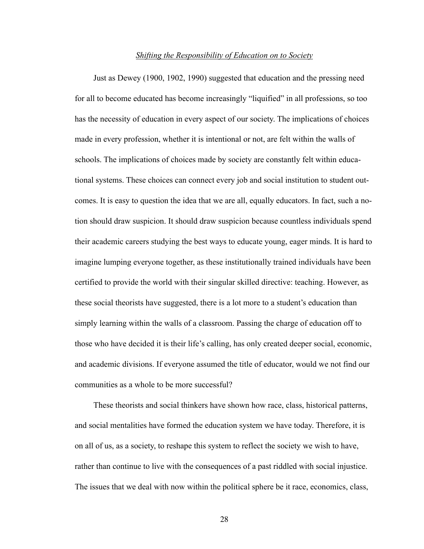#### *Shifting the Responsibility of Education on to Society*

Just as Dewey (1900, 1902, 1990) suggested that education and the pressing need for all to become educated has become increasingly "liquified" in all professions, so too has the necessity of education in every aspect of our society. The implications of choices made in every profession, whether it is intentional or not, are felt within the walls of schools. The implications of choices made by society are constantly felt within educational systems. These choices can connect every job and social institution to student outcomes. It is easy to question the idea that we are all, equally educators. In fact, such a notion should draw suspicion. It should draw suspicion because countless individuals spend their academic careers studying the best ways to educate young, eager minds. It is hard to imagine lumping everyone together, as these institutionally trained individuals have been certified to provide the world with their singular skilled directive: teaching. However, as these social theorists have suggested, there is a lot more to a student's education than simply learning within the walls of a classroom. Passing the charge of education off to those who have decided it is their life's calling, has only created deeper social, economic, and academic divisions. If everyone assumed the title of educator, would we not find our communities as a whole to be more successful?

These theorists and social thinkers have shown how race, class, historical patterns, and social mentalities have formed the education system we have today. Therefore, it is on all of us, as a society, to reshape this system to reflect the society we wish to have, rather than continue to live with the consequences of a past riddled with social injustice. The issues that we deal with now within the political sphere be it race, economics, class,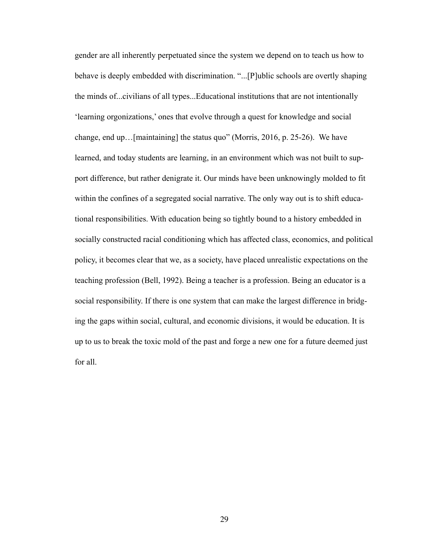gender are all inherently perpetuated since the system we depend on to teach us how to behave is deeply embedded with discrimination. "...[P]ublic schools are overtly shaping the minds of...civilians of all types...Educational institutions that are not intentionally 'learning orgonizations,' ones that evolve through a quest for knowledge and social change, end up…[maintaining] the status quo" (Morris, 2016, p. 25-26). We have learned, and today students are learning, in an environment which was not built to support difference, but rather denigrate it. Our minds have been unknowingly molded to fit within the confines of a segregated social narrative. The only way out is to shift educational responsibilities. With education being so tightly bound to a history embedded in socially constructed racial conditioning which has affected class, economics, and political policy, it becomes clear that we, as a society, have placed unrealistic expectations on the teaching profession (Bell, 1992). Being a teacher is a profession. Being an educator is a social responsibility. If there is one system that can make the largest difference in bridging the gaps within social, cultural, and economic divisions, it would be education. It is up to us to break the toxic mold of the past and forge a new one for a future deemed just for all.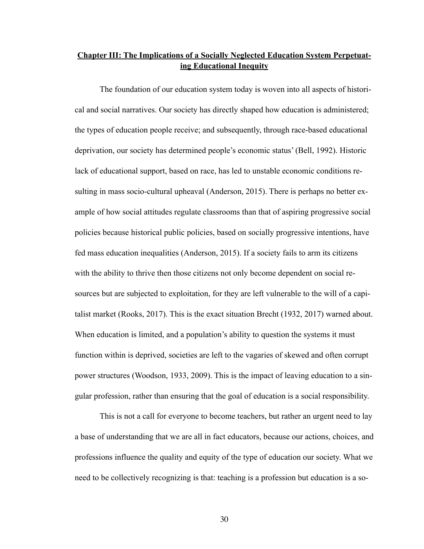### **Chapter III: The Implications of a Socially Neglected Education System Perpetuating Educational Inequity**

The foundation of our education system today is woven into all aspects of historical and social narratives. Our society has directly shaped how education is administered; the types of education people receive; and subsequently, through race-based educational deprivation, our society has determined people's economic status' (Bell, 1992). Historic lack of educational support, based on race, has led to unstable economic conditions resulting in mass socio-cultural upheaval (Anderson, 2015). There is perhaps no better example of how social attitudes regulate classrooms than that of aspiring progressive social policies because historical public policies, based on socially progressive intentions, have fed mass education inequalities (Anderson, 2015). If a society fails to arm its citizens with the ability to thrive then those citizens not only become dependent on social resources but are subjected to exploitation, for they are left vulnerable to the will of a capitalist market (Rooks, 2017). This is the exact situation Brecht (1932, 2017) warned about. When education is limited, and a population's ability to question the systems it must function within is deprived, societies are left to the vagaries of skewed and often corrupt power structures (Woodson, 1933, 2009). This is the impact of leaving education to a singular profession, rather than ensuring that the goal of education is a social responsibility.

 This is not a call for everyone to become teachers, but rather an urgent need to lay a base of understanding that we are all in fact educators, because our actions, choices, and professions influence the quality and equity of the type of education our society. What we need to be collectively recognizing is that: teaching is a profession but education is a so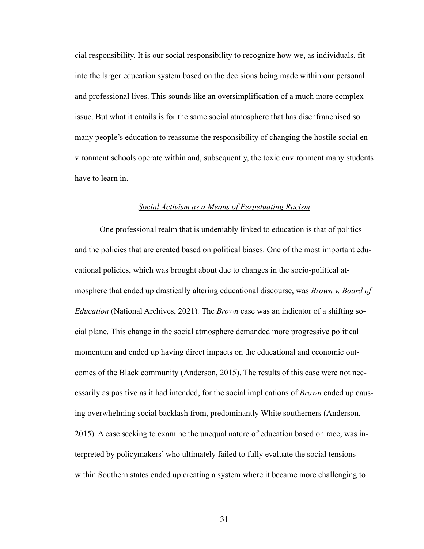cial responsibility. It is our social responsibility to recognize how we, as individuals, fit into the larger education system based on the decisions being made within our personal and professional lives. This sounds like an oversimplification of a much more complex issue. But what it entails is for the same social atmosphere that has disenfranchised so many people's education to reassume the responsibility of changing the hostile social environment schools operate within and, subsequently, the toxic environment many students have to learn in.

#### *Social Activism as a Means of Perpetuating Racism*

One professional realm that is undeniably linked to education is that of politics and the policies that are created based on political biases. One of the most important educational policies, which was brought about due to changes in the socio-political atmosphere that ended up drastically altering educational discourse, was *Brown v. Board of Education* (National Archives, 2021)*.* The *Brown* case was an indicator of a shifting social plane. This change in the social atmosphere demanded more progressive political momentum and ended up having direct impacts on the educational and economic outcomes of the Black community (Anderson, 2015). The results of this case were not necessarily as positive as it had intended, for the social implications of *Brown* ended up causing overwhelming social backlash from, predominantly White southerners (Anderson, 2015). A case seeking to examine the unequal nature of education based on race, was interpreted by policymakers' who ultimately failed to fully evaluate the social tensions within Southern states ended up creating a system where it became more challenging to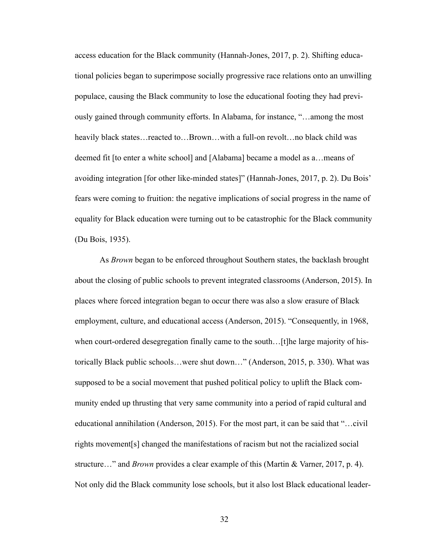access education for the Black community (Hannah-Jones, 2017, p. 2). Shifting educational policies began to superimpose socially progressive race relations onto an unwilling populace, causing the Black community to lose the educational footing they had previously gained through community efforts. In Alabama, for instance, "…among the most heavily black states…reacted to…Brown…with a full-on revolt…no black child was deemed fit [to enter a white school] and [Alabama] became a model as a…means of avoiding integration [for other like-minded states]" (Hannah-Jones, 2017, p. 2). Du Bois' fears were coming to fruition: the negative implications of social progress in the name of equality for Black education were turning out to be catastrophic for the Black community (Du Bois, 1935).

 As *Brown* began to be enforced throughout Southern states, the backlash brought about the closing of public schools to prevent integrated classrooms (Anderson, 2015). In places where forced integration began to occur there was also a slow erasure of Black employment, culture, and educational access (Anderson, 2015). "Consequently, in 1968, when court-ordered desegregation finally came to the south... [t]he large majority of historically Black public schools…were shut down…" (Anderson, 2015, p. 330). What was supposed to be a social movement that pushed political policy to uplift the Black community ended up thrusting that very same community into a period of rapid cultural and educational annihilation (Anderson, 2015). For the most part, it can be said that "…civil rights movement[s] changed the manifestations of racism but not the racialized social structure…" and *Brown* provides a clear example of this (Martin & Varner, 2017, p. 4). Not only did the Black community lose schools, but it also lost Black educational leader-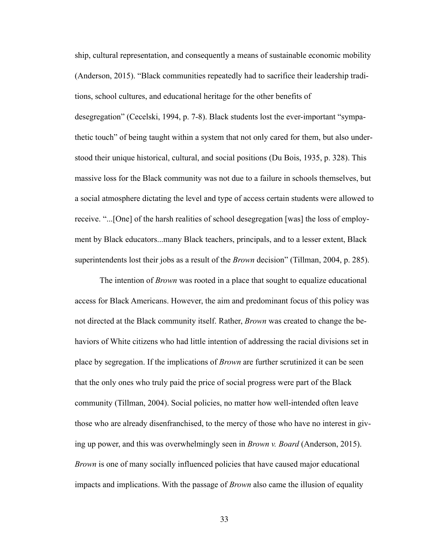ship, cultural representation, and consequently a means of sustainable economic mobility (Anderson, 2015). "Black communities repeatedly had to sacrifice their leadership traditions, school cultures, and educational heritage for the other benefits of desegregation" (Cecelski, 1994, p. 7-8). Black students lost the ever-important "sympathetic touch" of being taught within a system that not only cared for them, but also understood their unique historical, cultural, and social positions (Du Bois, 1935, p. 328). This massive loss for the Black community was not due to a failure in schools themselves, but a social atmosphere dictating the level and type of access certain students were allowed to receive. "...[One] of the harsh realities of school desegregation [was] the loss of employment by Black educators...many Black teachers, principals, and to a lesser extent, Black superintendents lost their jobs as a result of the *Brown* decision" (Tillman, 2004, p. 285).

The intention of *Brown* was rooted in a place that sought to equalize educational access for Black Americans. However, the aim and predominant focus of this policy was not directed at the Black community itself. Rather, *Brown* was created to change the behaviors of White citizens who had little intention of addressing the racial divisions set in place by segregation. If the implications of *Brown* are further scrutinized it can be seen that the only ones who truly paid the price of social progress were part of the Black community (Tillman, 2004). Social policies, no matter how well-intended often leave those who are already disenfranchised, to the mercy of those who have no interest in giving up power, and this was overwhelmingly seen in *Brown v. Board* (Anderson, 2015). *Brown* is one of many socially influenced policies that have caused major educational impacts and implications. With the passage of *Brown* also came the illusion of equality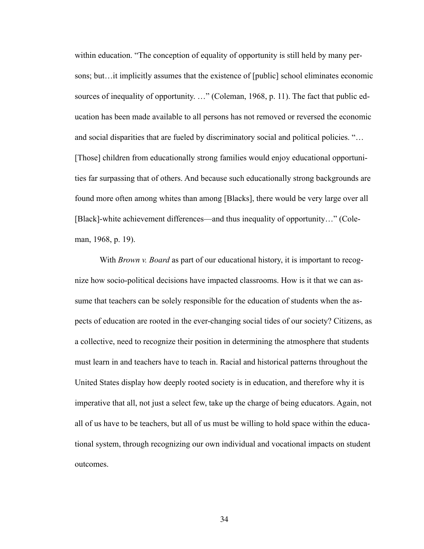within education. "The conception of equality of opportunity is still held by many persons; but…it implicitly assumes that the existence of [public] school eliminates economic sources of inequality of opportunity. …" (Coleman, 1968, p. 11). The fact that public education has been made available to all persons has not removed or reversed the economic and social disparities that are fueled by discriminatory social and political policies. "… [Those] children from educationally strong families would enjoy educational opportunities far surpassing that of others. And because such educationally strong backgrounds are found more often among whites than among [Blacks], there would be very large over all [Black]-white achievement differences—and thus inequality of opportunity…" (Coleman, 1968, p. 19).

 With *Brown v. Board* as part of our educational history, it is important to recognize how socio-political decisions have impacted classrooms. How is it that we can assume that teachers can be solely responsible for the education of students when the aspects of education are rooted in the ever-changing social tides of our society? Citizens, as a collective, need to recognize their position in determining the atmosphere that students must learn in and teachers have to teach in. Racial and historical patterns throughout the United States display how deeply rooted society is in education, and therefore why it is imperative that all, not just a select few, take up the charge of being educators. Again, not all of us have to be teachers, but all of us must be willing to hold space within the educational system, through recognizing our own individual and vocational impacts on student outcomes.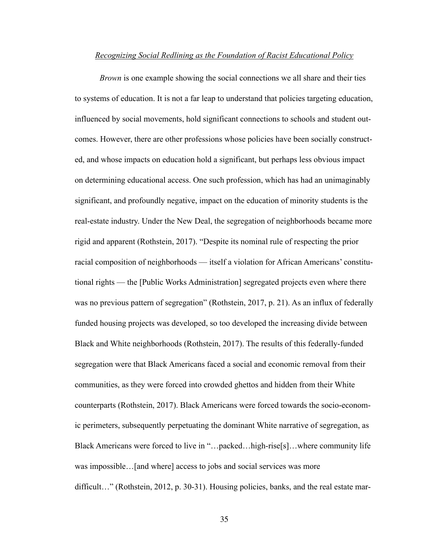#### *Recognizing Social Redlining as the Foundation of Racist Educational Policy*

*Brown* is one example showing the social connections we all share and their ties to systems of education. It is not a far leap to understand that policies targeting education, influenced by social movements, hold significant connections to schools and student outcomes. However, there are other professions whose policies have been socially constructed, and whose impacts on education hold a significant, but perhaps less obvious impact on determining educational access. One such profession, which has had an unimaginably significant, and profoundly negative, impact on the education of minority students is the real-estate industry. Under the New Deal, the segregation of neighborhoods became more rigid and apparent (Rothstein, 2017). "Despite its nominal rule of respecting the prior racial composition of neighborhoods — itself a violation for African Americans' constitutional rights — the [Public Works Administration] segregated projects even where there was no previous pattern of segregation" (Rothstein, 2017, p. 21). As an influx of federally funded housing projects was developed, so too developed the increasing divide between Black and White neighborhoods (Rothstein, 2017). The results of this federally-funded segregation were that Black Americans faced a social and economic removal from their communities, as they were forced into crowded ghettos and hidden from their White counterparts (Rothstein, 2017). Black Americans were forced towards the socio-economic perimeters, subsequently perpetuating the dominant White narrative of segregation, as Black Americans were forced to live in "…packed…high-rise[s]…where community life was impossible...[and where] access to jobs and social services was more difficult..." (Rothstein, 2012, p. 30-31). Housing policies, banks, and the real estate mar-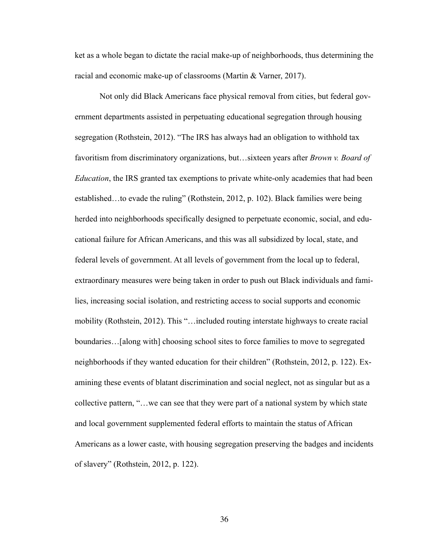ket as a whole began to dictate the racial make-up of neighborhoods, thus determining the racial and economic make-up of classrooms (Martin & Varner, 2017).

 Not only did Black Americans face physical removal from cities, but federal government departments assisted in perpetuating educational segregation through housing segregation (Rothstein, 2012). "The IRS has always had an obligation to withhold tax favoritism from discriminatory organizations, but…sixteen years after *Brown v. Board of Education*, the IRS granted tax exemptions to private white-only academies that had been established…to evade the ruling" (Rothstein, 2012, p. 102). Black families were being herded into neighborhoods specifically designed to perpetuate economic, social, and educational failure for African Americans, and this was all subsidized by local, state, and federal levels of government. At all levels of government from the local up to federal, extraordinary measures were being taken in order to push out Black individuals and families, increasing social isolation, and restricting access to social supports and economic mobility (Rothstein, 2012). This "…included routing interstate highways to create racial boundaries…[along with] choosing school sites to force families to move to segregated neighborhoods if they wanted education for their children" (Rothstein, 2012, p. 122). Examining these events of blatant discrimination and social neglect, not as singular but as a collective pattern, "…we can see that they were part of a national system by which state and local government supplemented federal efforts to maintain the status of African Americans as a lower caste, with housing segregation preserving the badges and incidents of slavery" (Rothstein, 2012, p. 122).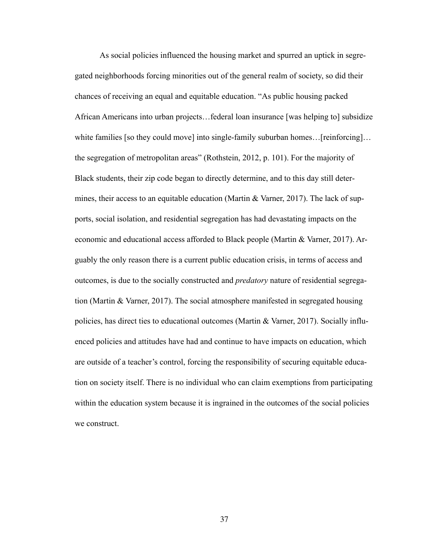As social policies influenced the housing market and spurred an uptick in segregated neighborhoods forcing minorities out of the general realm of society, so did their chances of receiving an equal and equitable education. "As public housing packed African Americans into urban projects…federal loan insurance [was helping to] subsidize white families [so they could move] into single-family suburban homes... [reinforcing]... the segregation of metropolitan areas" (Rothstein, 2012, p. 101). For the majority of Black students, their zip code began to directly determine, and to this day still determines, their access to an equitable education (Martin & Varner, 2017). The lack of supports, social isolation, and residential segregation has had devastating impacts on the economic and educational access afforded to Black people (Martin & Varner, 2017). Arguably the only reason there is a current public education crisis, in terms of access and outcomes, is due to the socially constructed and *predatory* nature of residential segregation (Martin & Varner, 2017). The social atmosphere manifested in segregated housing policies, has direct ties to educational outcomes (Martin & Varner, 2017). Socially influenced policies and attitudes have had and continue to have impacts on education, which are outside of a teacher's control, forcing the responsibility of securing equitable education on society itself. There is no individual who can claim exemptions from participating within the education system because it is ingrained in the outcomes of the social policies we construct.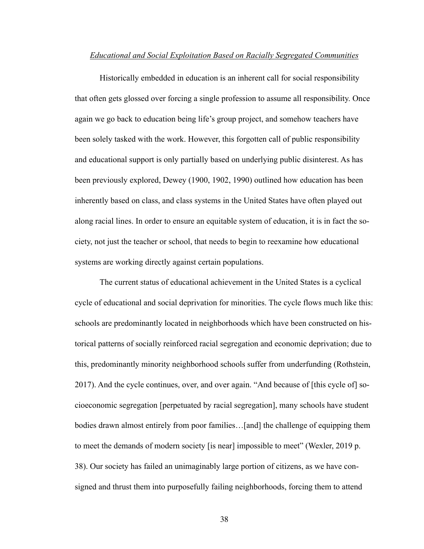#### *Educational and Social Exploitation Based on Racially Segregated Communities*

 Historically embedded in education is an inherent call for social responsibility that often gets glossed over forcing a single profession to assume all responsibility. Once again we go back to education being life's group project, and somehow teachers have been solely tasked with the work. However, this forgotten call of public responsibility and educational support is only partially based on underlying public disinterest. As has been previously explored, Dewey (1900, 1902, 1990) outlined how education has been inherently based on class, and class systems in the United States have often played out along racial lines. In order to ensure an equitable system of education, it is in fact the society, not just the teacher or school, that needs to begin to reexamine how educational systems are working directly against certain populations.

 The current status of educational achievement in the United States is a cyclical cycle of educational and social deprivation for minorities. The cycle flows much like this: schools are predominantly located in neighborhoods which have been constructed on historical patterns of socially reinforced racial segregation and economic deprivation; due to this, predominantly minority neighborhood schools suffer from underfunding (Rothstein, 2017). And the cycle continues, over, and over again. "And because of [this cycle of] socioeconomic segregation [perpetuated by racial segregation], many schools have student bodies drawn almost entirely from poor families…[and] the challenge of equipping them to meet the demands of modern society [is near] impossible to meet" (Wexler, 2019 p. 38). Our society has failed an unimaginably large portion of citizens, as we have consigned and thrust them into purposefully failing neighborhoods, forcing them to attend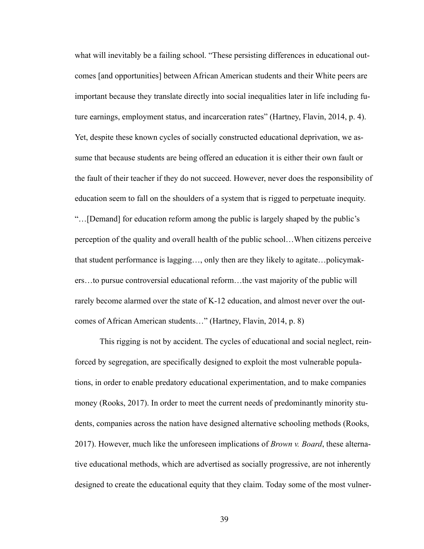what will inevitably be a failing school. "These persisting differences in educational outcomes [and opportunities] between African American students and their White peers are important because they translate directly into social inequalities later in life including future earnings, employment status, and incarceration rates" (Hartney, Flavin, 2014, p. 4). Yet, despite these known cycles of socially constructed educational deprivation, we assume that because students are being offered an education it is either their own fault or the fault of their teacher if they do not succeed. However, never does the responsibility of education seem to fall on the shoulders of a system that is rigged to perpetuate inequity. "…[Demand] for education reform among the public is largely shaped by the public's perception of the quality and overall health of the public school…When citizens perceive that student performance is lagging…, only then are they likely to agitate…policymakers…to pursue controversial educational reform…the vast majority of the public will rarely become alarmed over the state of K-12 education, and almost never over the outcomes of African American students…" (Hartney, Flavin, 2014, p. 8)

 This rigging is not by accident. The cycles of educational and social neglect, reinforced by segregation, are specifically designed to exploit the most vulnerable populations, in order to enable predatory educational experimentation, and to make companies money (Rooks, 2017). In order to meet the current needs of predominantly minority students, companies across the nation have designed alternative schooling methods (Rooks, 2017). However, much like the unforeseen implications of *Brown v. Board*, these alternative educational methods, which are advertised as socially progressive, are not inherently designed to create the educational equity that they claim. Today some of the most vulner-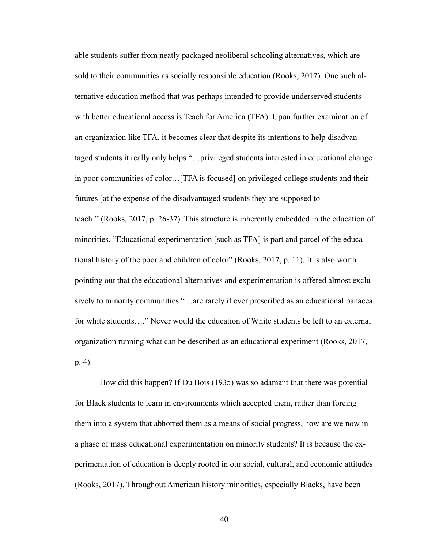able students suffer from neatly packaged neoliberal schooling alternatives, which are sold to their communities as socially responsible education (Rooks, 2017). One such alternative education method that was perhaps intended to provide underserved students with better educational access is Teach for America (TFA). Upon further examination of an organization like TFA, it becomes clear that despite its intentions to help disadvantaged students it really only helps "…privileged students interested in educational change in poor communities of color…[TFA is focused] on privileged college students and their futures [at the expense of the disadvantaged students they are supposed to teach]" (Rooks, 2017, p. 26-37). This structure is inherently embedded in the education of minorities. "Educational experimentation [such as TFA] is part and parcel of the educational history of the poor and children of color" (Rooks, 2017, p. 11). It is also worth pointing out that the educational alternatives and experimentation is offered almost exclusively to minority communities "…are rarely if ever prescribed as an educational panacea for white students…." Never would the education of White students be left to an external organization running what can be described as an educational experiment (Rooks, 2017, p. 4).

 How did this happen? If Du Bois (1935) was so adamant that there was potential for Black students to learn in environments which accepted them, rather than forcing them into a system that abhorred them as a means of social progress, how are we now in a phase of mass educational experimentation on minority students? It is because the experimentation of education is deeply rooted in our social, cultural, and economic attitudes (Rooks, 2017). Throughout American history minorities, especially Blacks, have been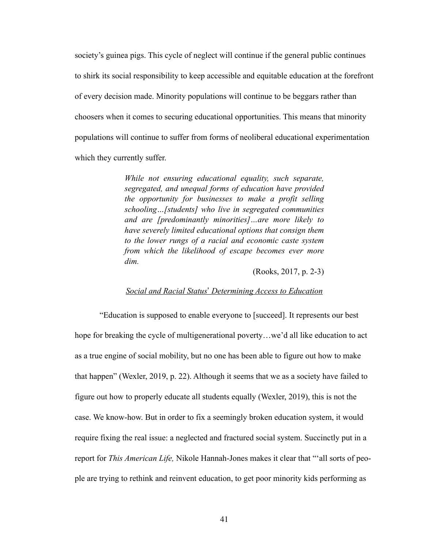society's guinea pigs. This cycle of neglect will continue if the general public continues to shirk its social responsibility to keep accessible and equitable education at the forefront of every decision made. Minority populations will continue to be beggars rather than choosers when it comes to securing educational opportunities. This means that minority populations will continue to suffer from forms of neoliberal educational experimentation which they currently suffer.

> *While not ensuring educational equality, such separate, segregated, and unequal forms of education have provided the opportunity for businesses to make a profit selling schooling…[students] who live in segregated communities and are [predominantly minorities]…are more likely to have severely limited educational options that consign them to the lower rungs of a racial and economic caste system from which the likelihood of escape becomes ever more dim.*

> > (Rooks, 2017, p. 2-3)

#### *Social and Racial Status*' *Determining Access to Education*

 "Education is supposed to enable everyone to [succeed]. It represents our best hope for breaking the cycle of multigenerational poverty...we'd all like education to act as a true engine of social mobility, but no one has been able to figure out how to make that happen" (Wexler, 2019, p. 22). Although it seems that we as a society have failed to figure out how to properly educate all students equally (Wexler, 2019), this is not the case. We know-how. But in order to fix a seemingly broken education system, it would require fixing the real issue: a neglected and fractured social system. Succinctly put in a report for *This American Life,* Nikole Hannah-Jones makes it clear that "'all sorts of people are trying to rethink and reinvent education, to get poor minority kids performing as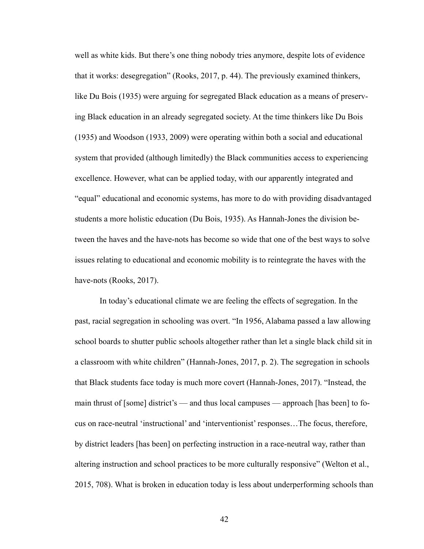well as white kids. But there's one thing nobody tries anymore, despite lots of evidence that it works: desegregation" (Rooks, 2017, p. 44). The previously examined thinkers, like Du Bois (1935) were arguing for segregated Black education as a means of preserving Black education in an already segregated society. At the time thinkers like Du Bois (1935) and Woodson (1933, 2009) were operating within both a social and educational system that provided (although limitedly) the Black communities access to experiencing excellence. However, what can be applied today, with our apparently integrated and "equal" educational and economic systems, has more to do with providing disadvantaged students a more holistic education (Du Bois, 1935). As Hannah-Jones the division between the haves and the have-nots has become so wide that one of the best ways to solve issues relating to educational and economic mobility is to reintegrate the haves with the have-nots (Rooks, 2017).

 In today's educational climate we are feeling the effects of segregation. In the past, racial segregation in schooling was overt. "In 1956, Alabama passed a law allowing school boards to shutter public schools altogether rather than let a single black child sit in a classroom with white children" (Hannah-Jones, 2017, p. 2). The segregation in schools that Black students face today is much more covert (Hannah-Jones, 2017). "Instead, the main thrust of [some] district's — and thus local campuses — approach [has been] to focus on race-neutral 'instructional' and 'interventionist' responses…The focus, therefore, by district leaders [has been] on perfecting instruction in a race-neutral way, rather than altering instruction and school practices to be more culturally responsive" (Welton et al., 2015, 708). What is broken in education today is less about underperforming schools than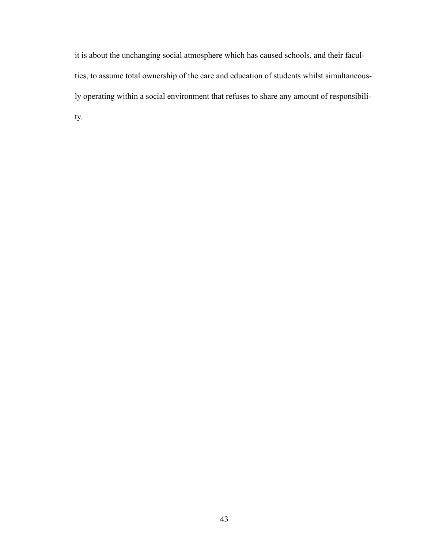it is about the unchanging social atmosphere which has caused schools, and their faculties, to assume total ownership of the care and education of students whilst simultaneously operating within a social environment that refuses to share any amount of responsibility.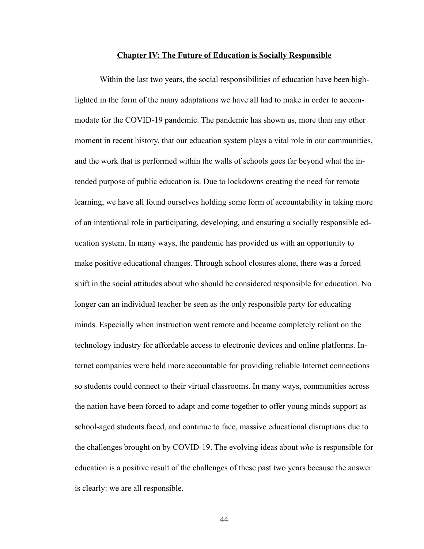#### **Chapter IV: The Future of Education is Socially Responsible**

 Within the last two years, the social responsibilities of education have been highlighted in the form of the many adaptations we have all had to make in order to accommodate for the COVID-19 pandemic. The pandemic has shown us, more than any other moment in recent history, that our education system plays a vital role in our communities, and the work that is performed within the walls of schools goes far beyond what the intended purpose of public education is. Due to lockdowns creating the need for remote learning, we have all found ourselves holding some form of accountability in taking more of an intentional role in participating, developing, and ensuring a socially responsible education system. In many ways, the pandemic has provided us with an opportunity to make positive educational changes. Through school closures alone, there was a forced shift in the social attitudes about who should be considered responsible for education. No longer can an individual teacher be seen as the only responsible party for educating minds. Especially when instruction went remote and became completely reliant on the technology industry for affordable access to electronic devices and online platforms. Internet companies were held more accountable for providing reliable Internet connections so students could connect to their virtual classrooms. In many ways, communities across the nation have been forced to adapt and come together to offer young minds support as school-aged students faced, and continue to face, massive educational disruptions due to the challenges brought on by COVID-19. The evolving ideas about *who* is responsible for education is a positive result of the challenges of these past two years because the answer is clearly: we are all responsible.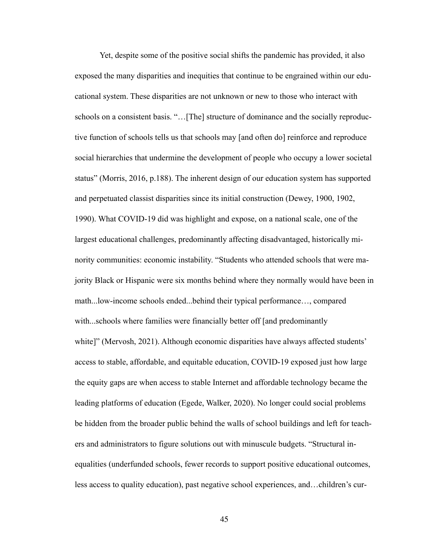Yet, despite some of the positive social shifts the pandemic has provided, it also exposed the many disparities and inequities that continue to be engrained within our educational system. These disparities are not unknown or new to those who interact with schools on a consistent basis. "…[The] structure of dominance and the socially reproductive function of schools tells us that schools may [and often do] reinforce and reproduce social hierarchies that undermine the development of people who occupy a lower societal status" (Morris, 2016, p.188). The inherent design of our education system has supported and perpetuated classist disparities since its initial construction (Dewey, 1900, 1902, 1990). What COVID-19 did was highlight and expose, on a national scale, one of the largest educational challenges, predominantly affecting disadvantaged, historically minority communities: economic instability. "Students who attended schools that were majority Black or Hispanic were six months behind where they normally would have been in math...low-income schools ended...behind their typical performance…, compared with...schools where families were financially better off [and predominantly white]" (Mervosh, 2021). Although economic disparities have always affected students' access to stable, affordable, and equitable education, COVID-19 exposed just how large the equity gaps are when access to stable Internet and affordable technology became the leading platforms of education (Egede, Walker, 2020). No longer could social problems be hidden from the broader public behind the walls of school buildings and left for teachers and administrators to figure solutions out with minuscule budgets. "Structural inequalities (underfunded schools, fewer records to support positive educational outcomes, less access to quality education), past negative school experiences, and…children's cur-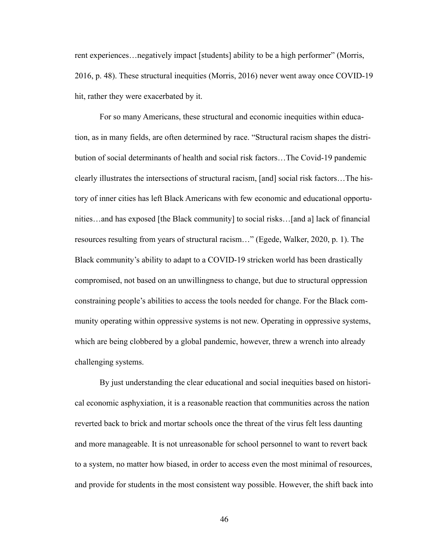rent experiences…negatively impact [students] ability to be a high performer" (Morris, 2016, p. 48). These structural inequities (Morris, 2016) never went away once COVID-19 hit, rather they were exacerbated by it.

 For so many Americans, these structural and economic inequities within education, as in many fields, are often determined by race. "Structural racism shapes the distribution of social determinants of health and social risk factors…The Covid-19 pandemic clearly illustrates the intersections of structural racism, [and] social risk factors…The history of inner cities has left Black Americans with few economic and educational opportunities…and has exposed [the Black community] to social risks…[and a] lack of financial resources resulting from years of structural racism…" (Egede, Walker, 2020, p. 1). The Black community's ability to adapt to a COVID-19 stricken world has been drastically compromised, not based on an unwillingness to change, but due to structural oppression constraining people's abilities to access the tools needed for change. For the Black community operating within oppressive systems is not new. Operating in oppressive systems, which are being clobbered by a global pandemic, however, threw a wrench into already challenging systems.

 By just understanding the clear educational and social inequities based on historical economic asphyxiation, it is a reasonable reaction that communities across the nation reverted back to brick and mortar schools once the threat of the virus felt less daunting and more manageable. It is not unreasonable for school personnel to want to revert back to a system, no matter how biased, in order to access even the most minimal of resources, and provide for students in the most consistent way possible. However, the shift back into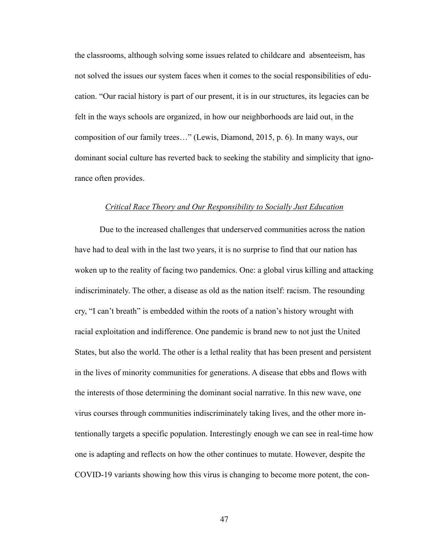the classrooms, although solving some issues related to childcare and absenteeism, has not solved the issues our system faces when it comes to the social responsibilities of education. "Our racial history is part of our present, it is in our structures, its legacies can be felt in the ways schools are organized, in how our neighborhoods are laid out, in the composition of our family trees…" (Lewis, Diamond, 2015, p. 6). In many ways, our dominant social culture has reverted back to seeking the stability and simplicity that ignorance often provides.

#### *Critical Race Theory and Our Responsibility to Socially Just Education*

 Due to the increased challenges that underserved communities across the nation have had to deal with in the last two years, it is no surprise to find that our nation has woken up to the reality of facing two pandemics. One: a global virus killing and attacking indiscriminately. The other, a disease as old as the nation itself: racism. The resounding cry, "I can't breath" is embedded within the roots of a nation's history wrought with racial exploitation and indifference. One pandemic is brand new to not just the United States, but also the world. The other is a lethal reality that has been present and persistent in the lives of minority communities for generations. A disease that ebbs and flows with the interests of those determining the dominant social narrative. In this new wave, one virus courses through communities indiscriminately taking lives, and the other more intentionally targets a specific population. Interestingly enough we can see in real-time how one is adapting and reflects on how the other continues to mutate. However, despite the COVID-19 variants showing how this virus is changing to become more potent, the con-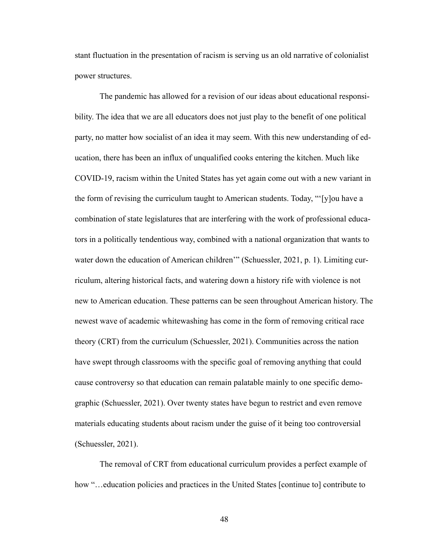stant fluctuation in the presentation of racism is serving us an old narrative of colonialist power structures.

 The pandemic has allowed for a revision of our ideas about educational responsibility. The idea that we are all educators does not just play to the benefit of one political party, no matter how socialist of an idea it may seem. With this new understanding of education, there has been an influx of unqualified cooks entering the kitchen. Much like COVID-19, racism within the United States has yet again come out with a new variant in the form of revising the curriculum taught to American students. Today, "'[y]ou have a combination of state legislatures that are interfering with the work of professional educators in a politically tendentious way, combined with a national organization that wants to water down the education of American children'" (Schuessler, 2021, p. 1). Limiting curriculum, altering historical facts, and watering down a history rife with violence is not new to American education. These patterns can be seen throughout American history. The newest wave of academic whitewashing has come in the form of removing critical race theory (CRT) from the curriculum (Schuessler, 2021). Communities across the nation have swept through classrooms with the specific goal of removing anything that could cause controversy so that education can remain palatable mainly to one specific demographic (Schuessler, 2021). Over twenty states have begun to restrict and even remove materials educating students about racism under the guise of it being too controversial (Schuessler, 2021).

 The removal of CRT from educational curriculum provides a perfect example of how "... education policies and practices in the United States [continue to] contribute to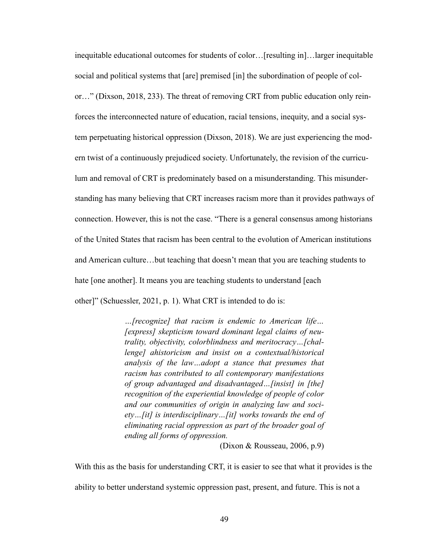inequitable educational outcomes for students of color…[resulting in]…larger inequitable social and political systems that [are] premised [in] the subordination of people of color…" (Dixson, 2018, 233). The threat of removing CRT from public education only reinforces the interconnected nature of education, racial tensions, inequity, and a social system perpetuating historical oppression (Dixson, 2018). We are just experiencing the modern twist of a continuously prejudiced society. Unfortunately, the revision of the curriculum and removal of CRT is predominately based on a misunderstanding. This misunderstanding has many believing that CRT increases racism more than it provides pathways of connection. However, this is not the case. "There is a general consensus among historians of the United States that racism has been central to the evolution of American institutions and American culture…but teaching that doesn't mean that you are teaching students to hate [one another]. It means you are teaching students to understand [each] other]" (Schuessler, 2021, p. 1). What CRT is intended to do is:

> *…[recognize] that racism is endemic to American life… [express] skepticism toward dominant legal claims of neutrality, objectivity, colorblindness and meritocracy…[challenge] ahistoricism and insist on a contextual/historical analysis of the law…adopt a stance that presumes that racism has contributed to all contemporary manifestations of group advantaged and disadvantaged…[insist] in [the] recognition of the experiential knowledge of people of color and our communities of origin in analyzing law and society…[it] is interdisciplinary…[it] works towards the end of eliminating racial oppression as part of the broader goal of ending all forms of oppression.*

> > (Dixon & Rousseau, 2006, p.9)

With this as the basis for understanding CRT, it is easier to see that what it provides is the ability to better understand systemic oppression past, present, and future. This is not a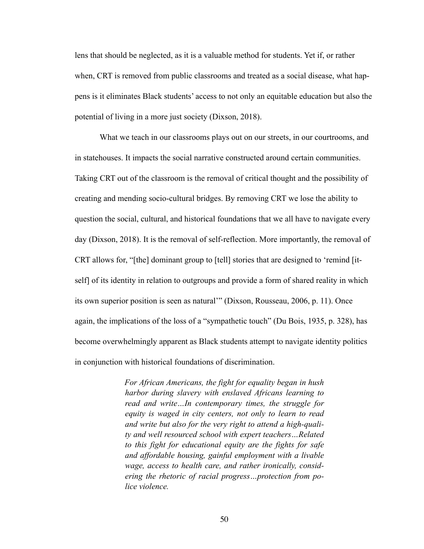lens that should be neglected, as it is a valuable method for students. Yet if, or rather when, CRT is removed from public classrooms and treated as a social disease, what happens is it eliminates Black students' access to not only an equitable education but also the potential of living in a more just society (Dixson, 2018).

 What we teach in our classrooms plays out on our streets, in our courtrooms, and in statehouses. It impacts the social narrative constructed around certain communities. Taking CRT out of the classroom is the removal of critical thought and the possibility of creating and mending socio-cultural bridges. By removing CRT we lose the ability to question the social, cultural, and historical foundations that we all have to navigate every day (Dixson, 2018). It is the removal of self-reflection. More importantly, the removal of CRT allows for, "[the] dominant group to [tell] stories that are designed to 'remind [itself] of its identity in relation to outgroups and provide a form of shared reality in which its own superior position is seen as natural'" (Dixson, Rousseau, 2006, p. 11). Once again, the implications of the loss of a "sympathetic touch" (Du Bois, 1935, p. 328), has become overwhelmingly apparent as Black students attempt to navigate identity politics in conjunction with historical foundations of discrimination.

> *For African Americans, the fight for equality began in hush harbor during slavery with enslaved Africans learning to read and write…In contemporary times, the struggle for equity is waged in city centers, not only to learn to read and write but also for the very right to attend a high-quality and well resourced school with expert teachers…Related to this fight for educational equity are the fights for safe and affordable housing, gainful employment with a livable wage, access to health care, and rather ironically, considering the rhetoric of racial progress…protection from police violence.*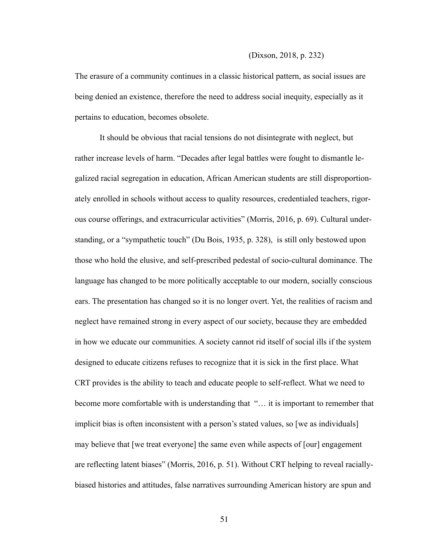The erasure of a community continues in a classic historical pattern, as social issues are being denied an existence, therefore the need to address social inequity, especially as it pertains to education, becomes obsolete.

 It should be obvious that racial tensions do not disintegrate with neglect, but rather increase levels of harm. "Decades after legal battles were fought to dismantle legalized racial segregation in education, African American students are still disproportionately enrolled in schools without access to quality resources, credentialed teachers, rigorous course offerings, and extracurricular activities" (Morris, 2016, p. 69). Cultural understanding, or a "sympathetic touch" (Du Bois, 1935, p. 328), is still only bestowed upon those who hold the elusive, and self-prescribed pedestal of socio-cultural dominance. The language has changed to be more politically acceptable to our modern, socially conscious ears. The presentation has changed so it is no longer overt. Yet, the realities of racism and neglect have remained strong in every aspect of our society, because they are embedded in how we educate our communities. A society cannot rid itself of social ills if the system designed to educate citizens refuses to recognize that it is sick in the first place. What CRT provides is the ability to teach and educate people to self-reflect. What we need to become more comfortable with is understanding that "… it is important to remember that implicit bias is often inconsistent with a person's stated values, so [we as individuals] may believe that [we treat everyone] the same even while aspects of [our] engagement are reflecting latent biases" (Morris, 2016, p. 51). Without CRT helping to reveal raciallybiased histories and attitudes, false narratives surrounding American history are spun and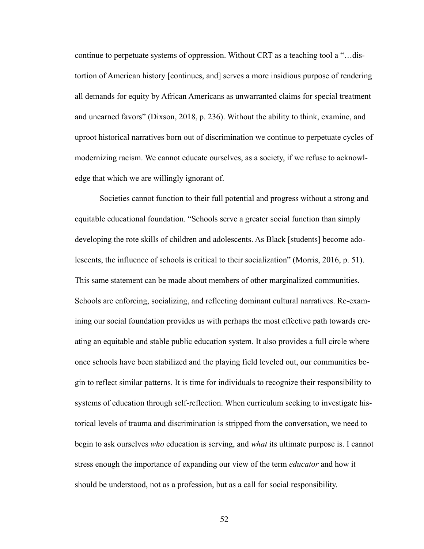continue to perpetuate systems of oppression. Without CRT as a teaching tool a "…distortion of American history [continues, and] serves a more insidious purpose of rendering all demands for equity by African Americans as unwarranted claims for special treatment and unearned favors" (Dixson, 2018, p. 236). Without the ability to think, examine, and uproot historical narratives born out of discrimination we continue to perpetuate cycles of modernizing racism. We cannot educate ourselves, as a society, if we refuse to acknowledge that which we are willingly ignorant of.

 Societies cannot function to their full potential and progress without a strong and equitable educational foundation. "Schools serve a greater social function than simply developing the rote skills of children and adolescents. As Black [students] become adolescents, the influence of schools is critical to their socialization" (Morris, 2016, p. 51). This same statement can be made about members of other marginalized communities. Schools are enforcing, socializing, and reflecting dominant cultural narratives. Re-examining our social foundation provides us with perhaps the most effective path towards creating an equitable and stable public education system. It also provides a full circle where once schools have been stabilized and the playing field leveled out, our communities begin to reflect similar patterns. It is time for individuals to recognize their responsibility to systems of education through self-reflection. When curriculum seeking to investigate historical levels of trauma and discrimination is stripped from the conversation, we need to begin to ask ourselves *who* education is serving, and *what* its ultimate purpose is. I cannot stress enough the importance of expanding our view of the term *educator* and how it should be understood, not as a profession, but as a call for social responsibility.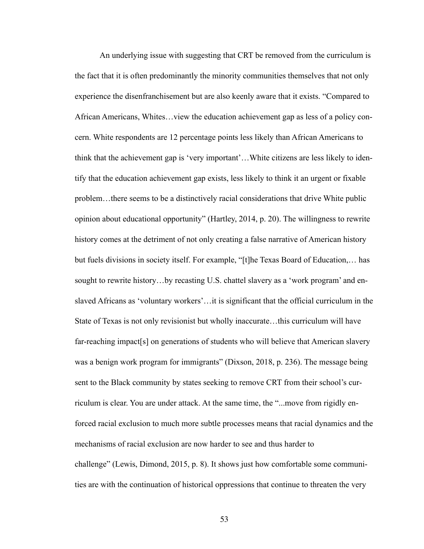An underlying issue with suggesting that CRT be removed from the curriculum is the fact that it is often predominantly the minority communities themselves that not only experience the disenfranchisement but are also keenly aware that it exists. "Compared to African Americans, Whites…view the education achievement gap as less of a policy concern. White respondents are 12 percentage points less likely than African Americans to think that the achievement gap is 'very important'…White citizens are less likely to identify that the education achievement gap exists, less likely to think it an urgent or fixable problem…there seems to be a distinctively racial considerations that drive White public opinion about educational opportunity" (Hartley, 2014, p. 20). The willingness to rewrite history comes at the detriment of not only creating a false narrative of American history but fuels divisions in society itself. For example, "[t]he Texas Board of Education,… has sought to rewrite history…by recasting U.S. chattel slavery as a 'work program' and enslaved Africans as 'voluntary workers'…it is significant that the official curriculum in the State of Texas is not only revisionist but wholly inaccurate…this curriculum will have far-reaching impact[s] on generations of students who will believe that American slavery was a benign work program for immigrants" (Dixson, 2018, p. 236). The message being sent to the Black community by states seeking to remove CRT from their school's curriculum is clear. You are under attack. At the same time, the "...move from rigidly enforced racial exclusion to much more subtle processes means that racial dynamics and the mechanisms of racial exclusion are now harder to see and thus harder to challenge" (Lewis, Dimond, 2015, p. 8). It shows just how comfortable some communities are with the continuation of historical oppressions that continue to threaten the very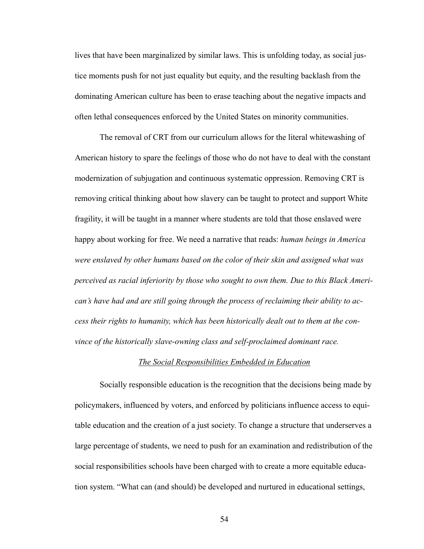lives that have been marginalized by similar laws. This is unfolding today, as social justice moments push for not just equality but equity, and the resulting backlash from the dominating American culture has been to erase teaching about the negative impacts and often lethal consequences enforced by the United States on minority communities.

 The removal of CRT from our curriculum allows for the literal whitewashing of American history to spare the feelings of those who do not have to deal with the constant modernization of subjugation and continuous systematic oppression. Removing CRT is removing critical thinking about how slavery can be taught to protect and support White fragility, it will be taught in a manner where students are told that those enslaved were happy about working for free. We need a narrative that reads: *human beings in America were enslaved by other humans based on the color of their skin and assigned what was perceived as racial inferiority by those who sought to own them. Due to this Black American's have had and are still going through the process of reclaiming their ability to access their rights to humanity, which has been historically dealt out to them at the convince of the historically slave-owning class and self-proclaimed dominant race.*

#### *The Social Responsibilities Embedded in Education*

Socially responsible education is the recognition that the decisions being made by policymakers, influenced by voters, and enforced by politicians influence access to equitable education and the creation of a just society. To change a structure that underserves a large percentage of students, we need to push for an examination and redistribution of the social responsibilities schools have been charged with to create a more equitable education system. "What can (and should) be developed and nurtured in educational settings,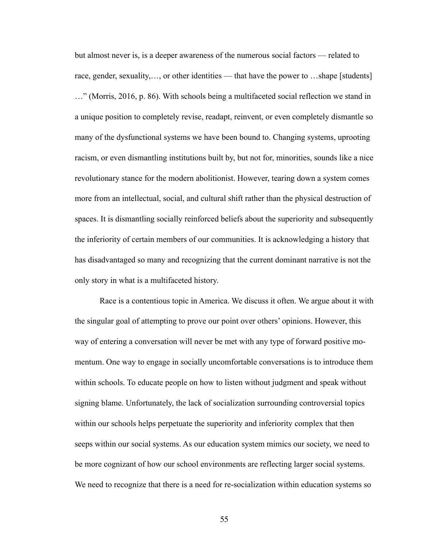but almost never is, is a deeper awareness of the numerous social factors — related to race, gender, sexuality,..., or other identities — that have the power to ...shape [students] …" (Morris, 2016, p. 86). With schools being a multifaceted social reflection we stand in a unique position to completely revise, readapt, reinvent, or even completely dismantle so many of the dysfunctional systems we have been bound to. Changing systems, uprooting racism, or even dismantling institutions built by, but not for, minorities, sounds like a nice revolutionary stance for the modern abolitionist. However, tearing down a system comes more from an intellectual, social, and cultural shift rather than the physical destruction of spaces. It is dismantling socially reinforced beliefs about the superiority and subsequently the inferiority of certain members of our communities. It is acknowledging a history that has disadvantaged so many and recognizing that the current dominant narrative is not the only story in what is a multifaceted history.

 Race is a contentious topic in America. We discuss it often. We argue about it with the singular goal of attempting to prove our point over others' opinions. However, this way of entering a conversation will never be met with any type of forward positive momentum. One way to engage in socially uncomfortable conversations is to introduce them within schools. To educate people on how to listen without judgment and speak without signing blame. Unfortunately, the lack of socialization surrounding controversial topics within our schools helps perpetuate the superiority and inferiority complex that then seeps within our social systems. As our education system mimics our society, we need to be more cognizant of how our school environments are reflecting larger social systems. We need to recognize that there is a need for re-socialization within education systems so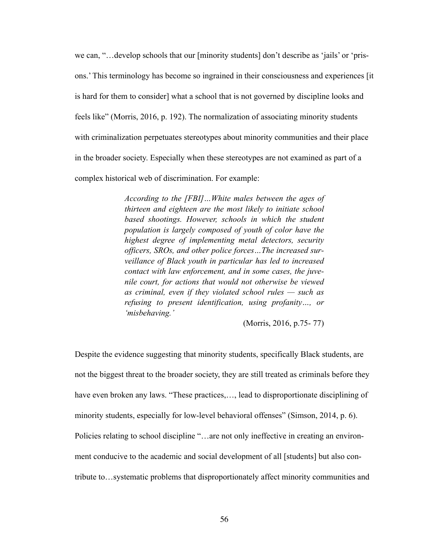we can, "…develop schools that our [minority students] don't describe as 'jails' or 'prisons.' This terminology has become so ingrained in their consciousness and experiences [it is hard for them to consider] what a school that is not governed by discipline looks and feels like" (Morris, 2016, p. 192). The normalization of associating minority students with criminalization perpetuates stereotypes about minority communities and their place in the broader society. Especially when these stereotypes are not examined as part of a complex historical web of discrimination. For example:

> *According to the [FBI]…White males between the ages of thirteen and eighteen are the most likely to initiate school based shootings. However, schools in which the student population is largely composed of youth of color have the highest degree of implementing metal detectors, security officers, SROs, and other police forces…The increased surveillance of Black youth in particular has led to increased contact with law enforcement, and in some cases, the juvenile court, for actions that would not otherwise be viewed as criminal, even if they violated school rules — such as refusing to present identification, using profanity…, or 'misbehaving.'*

> > (Morris, 2016, p.75- 77)

Despite the evidence suggesting that minority students, specifically Black students, are not the biggest threat to the broader society, they are still treated as criminals before they have even broken any laws. "These practices,..., lead to disproportionate disciplining of minority students, especially for low-level behavioral offenses" (Simson, 2014, p. 6). Policies relating to school discipline "…are not only ineffective in creating an environment conducive to the academic and social development of all [students] but also contribute to…systematic problems that disproportionately affect minority communities and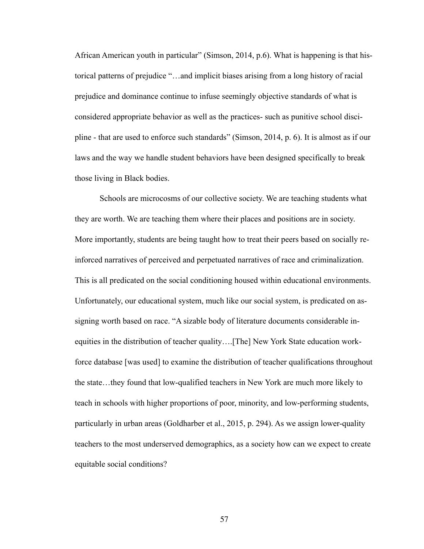African American youth in particular" (Simson, 2014, p.6). What is happening is that historical patterns of prejudice "…and implicit biases arising from a long history of racial prejudice and dominance continue to infuse seemingly objective standards of what is considered appropriate behavior as well as the practices- such as punitive school discipline - that are used to enforce such standards" (Simson, 2014, p. 6). It is almost as if our laws and the way we handle student behaviors have been designed specifically to break those living in Black bodies.

 Schools are microcosms of our collective society. We are teaching students what they are worth. We are teaching them where their places and positions are in society. More importantly, students are being taught how to treat their peers based on socially reinforced narratives of perceived and perpetuated narratives of race and criminalization. This is all predicated on the social conditioning housed within educational environments. Unfortunately, our educational system, much like our social system, is predicated on assigning worth based on race. "A sizable body of literature documents considerable inequities in the distribution of teacher quality….[The] New York State education workforce database [was used] to examine the distribution of teacher qualifications throughout the state…they found that low-qualified teachers in New York are much more likely to teach in schools with higher proportions of poor, minority, and low-performing students, particularly in urban areas (Goldharber et al., 2015, p. 294). As we assign lower-quality teachers to the most underserved demographics, as a society how can we expect to create equitable social conditions?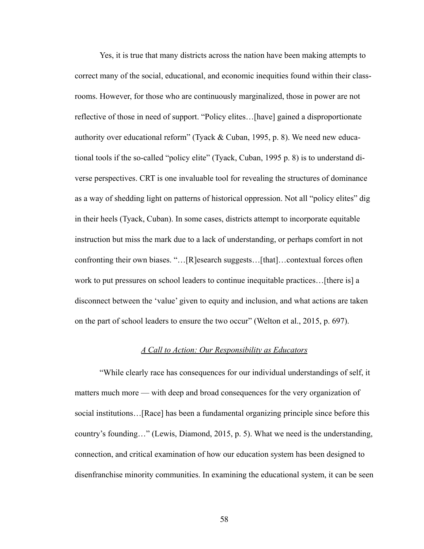Yes, it is true that many districts across the nation have been making attempts to correct many of the social, educational, and economic inequities found within their classrooms. However, for those who are continuously marginalized, those in power are not reflective of those in need of support. "Policy elites…[have] gained a disproportionate authority over educational reform" (Tyack & Cuban, 1995, p. 8). We need new educational tools if the so-called "policy elite" (Tyack, Cuban, 1995 p. 8) is to understand diverse perspectives. CRT is one invaluable tool for revealing the structures of dominance as a way of shedding light on patterns of historical oppression. Not all "policy elites" dig in their heels (Tyack, Cuban). In some cases, districts attempt to incorporate equitable instruction but miss the mark due to a lack of understanding, or perhaps comfort in not confronting their own biases. "…[R]esearch suggests…[that]…contextual forces often work to put pressures on school leaders to continue inequitable practices…[there is] a disconnect between the 'value' given to equity and inclusion, and what actions are taken on the part of school leaders to ensure the two occur" (Welton et al., 2015, p. 697).

#### *A Call to Action: Our Responsibility as Educators*

 "While clearly race has consequences for our individual understandings of self, it matters much more — with deep and broad consequences for the very organization of social institutions…[Race] has been a fundamental organizing principle since before this country's founding…" (Lewis, Diamond, 2015, p. 5). What we need is the understanding, connection, and critical examination of how our education system has been designed to disenfranchise minority communities. In examining the educational system, it can be seen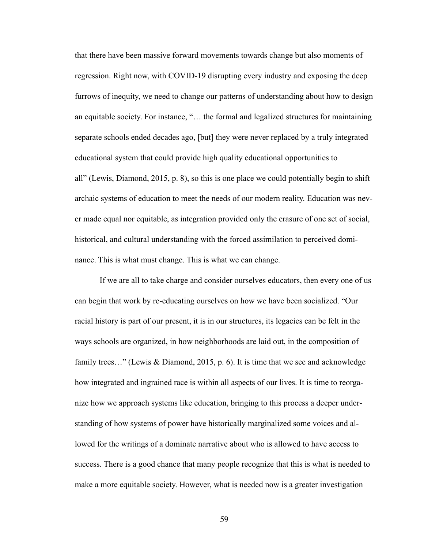that there have been massive forward movements towards change but also moments of regression. Right now, with COVID-19 disrupting every industry and exposing the deep furrows of inequity, we need to change our patterns of understanding about how to design an equitable society. For instance, "… the formal and legalized structures for maintaining separate schools ended decades ago, [but] they were never replaced by a truly integrated educational system that could provide high quality educational opportunities to all" (Lewis, Diamond, 2015, p. 8), so this is one place we could potentially begin to shift archaic systems of education to meet the needs of our modern reality. Education was never made equal nor equitable, as integration provided only the erasure of one set of social, historical, and cultural understanding with the forced assimilation to perceived dominance. This is what must change. This is what we can change.

 If we are all to take charge and consider ourselves educators, then every one of us can begin that work by re-educating ourselves on how we have been socialized. "Our racial history is part of our present, it is in our structures, its legacies can be felt in the ways schools are organized, in how neighborhoods are laid out, in the composition of family trees..." (Lewis & Diamond, 2015, p. 6). It is time that we see and acknowledge how integrated and ingrained race is within all aspects of our lives. It is time to reorganize how we approach systems like education, bringing to this process a deeper understanding of how systems of power have historically marginalized some voices and allowed for the writings of a dominate narrative about who is allowed to have access to success. There is a good chance that many people recognize that this is what is needed to make a more equitable society. However, what is needed now is a greater investigation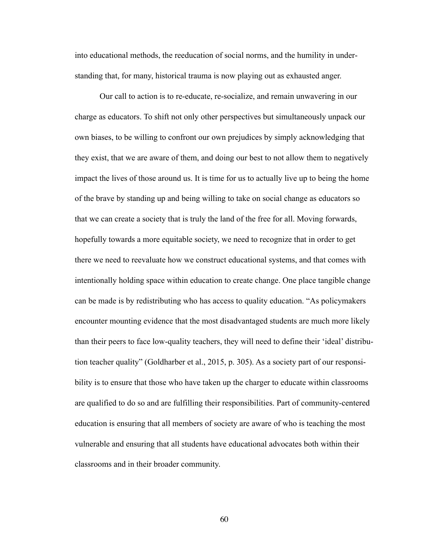into educational methods, the reeducation of social norms, and the humility in understanding that, for many, historical trauma is now playing out as exhausted anger.

 Our call to action is to re-educate, re-socialize, and remain unwavering in our charge as educators. To shift not only other perspectives but simultaneously unpack our own biases, to be willing to confront our own prejudices by simply acknowledging that they exist, that we are aware of them, and doing our best to not allow them to negatively impact the lives of those around us. It is time for us to actually live up to being the home of the brave by standing up and being willing to take on social change as educators so that we can create a society that is truly the land of the free for all. Moving forwards, hopefully towards a more equitable society, we need to recognize that in order to get there we need to reevaluate how we construct educational systems, and that comes with intentionally holding space within education to create change. One place tangible change can be made is by redistributing who has access to quality education. "As policymakers encounter mounting evidence that the most disadvantaged students are much more likely than their peers to face low-quality teachers, they will need to define their 'ideal' distribution teacher quality" (Goldharber et al., 2015, p. 305). As a society part of our responsibility is to ensure that those who have taken up the charger to educate within classrooms are qualified to do so and are fulfilling their responsibilities. Part of community-centered education is ensuring that all members of society are aware of who is teaching the most vulnerable and ensuring that all students have educational advocates both within their classrooms and in their broader community.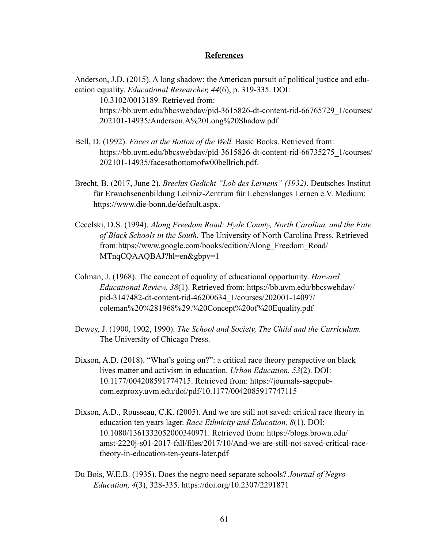#### **References**

Anderson, J.D. (2015). A long shadow: the American pursuit of political justice and education equality. *Educational Researcher, 44*(6), p. 319-335. DOI: 10.3102/0013189. Retrieved from: [https://bb.uvm.edu/bbcswebdav/pid-3615826-dt-content-rid-66765729\\_1/courses/](https://bb.uvm.edu/bbcswebdav/pid-3615826-dt-content-rid-66765729_1/courses/202101-14935/Anderson.A%252520Long%252520Shadow.pdf) [202101-14935/Anderson.A%20Long%20Shadow.pdf](https://bb.uvm.edu/bbcswebdav/pid-3615826-dt-content-rid-66765729_1/courses/202101-14935/Anderson.A%252520Long%252520Shadow.pdf) 

- Bell, D. (1992). *Faces at the Botton of the Well.* Basic Books. Retrieved from: [https://bb.uvm.edu/bbcswebdav/pid-3615826-dt-content-rid-66735275\\_1/courses/](https://bb.uvm.edu/bbcswebdav/pid-3615826-dt-content-rid-66735275_1/courses/202101-14935/facesatbottomofw00bellrich.pdf) [202101-14935/facesatbottomofw00bellrich.pdf.](https://bb.uvm.edu/bbcswebdav/pid-3615826-dt-content-rid-66735275_1/courses/202101-14935/facesatbottomofw00bellrich.pdf)
- Brecht, B. (2017, June 2). *Brechts Gedicht "Lob des Lernens" (1932)*. Deutsches Institut für Erwachsenenbildung Leibniz-Zentrum für Lebenslanges Lernen e.V. Medium: https://www.die-bonn.de/default.aspx.
- Cecelski, D.S. (1994). *Along Freedom Road: Hyde County, North Carolina, and the Fate of Black Schools in the South.* The University of North Carolina Press. Retrieved from:[https://www.google.com/books/edition/Along\\_Freedom\\_Road/](https://www.google.com/books/edition/Along_Freedom_Road/)  MTnqCQAAQBAJ?hl=en&gbpv=1
- Colman, J. (1968). The concept of equality of educational opportunity. *Harvard Educational Review. 38*(1). Retrieved from:<https://bb.uvm.edu/bbcswebdav/> pid-3147482-dt-content-rid-46200634\_1/courses/202001-14097/ coleman%20%281968%29.%20Concept%20of%20Equality.pdf
- Dewey, J. (1900, 1902, 1990). *The School and Society, The Child and the Curriculum.*  The University of Chicago Press.
- Dixson, A.D. (2018). "What's going on?": a critical race theory perspective on black lives matter and activism in education. *Urban Education. 53*(2). DOI: 10.1177/004208591774715. Retrieved from: https://journals-sagepub com.ezproxy.uvm.edu/doi/pdf/10.1177/0042085917747115
- Dixson, A.D., Rousseau, C.K. (2005). And we are still not saved: critical race theory in education ten years lager. *Race Ethnicity and Education, 8*(1). DOI: 10.1080/1361332052000340971. Retrieved from:<https://blogs.brown.edu/> amst-2220j-s01-2017-fall/files/2017/10/And-we-are-still-not-saved-critical-race theory-in-education-ten-years-later.pdf
- Du Bois, W.E.B. (1935). Does the negro need separate schools? *Journal of Negro Education, 4*(3), 328-335[. https://doi.org/10.2307/2291871](https://doi.org/10.2307/2291871)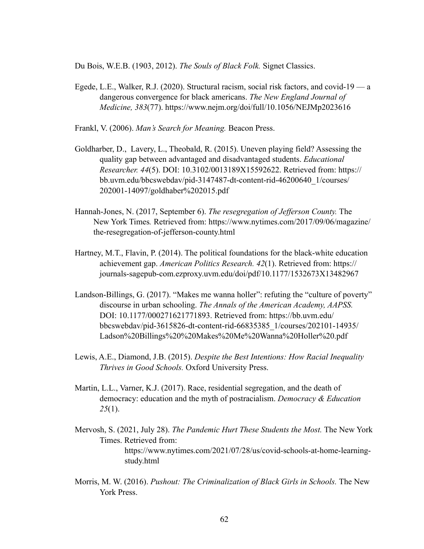Du Bois, W.E.B. (1903, 2012). *The Souls of Black Folk.* Signet Classics.

Egede, L.E., Walker, R.J. (2020). Structural racism, social risk factors, and covid-19 — a dangerous convergence for black americans. *The New England Journal of Medicine, 383*(77).<https://www.nejm.org/doi/full/10.1056/NEJMp2023616>

Frankl, V. (2006). *Man's Search for Meaning.* Beacon Press.

- Goldharber, D., Lavery, L., Theobald, R. (2015). Uneven playing field? Assessing the quality gap between advantaged and disadvantaged students. *Educational Researcher. 44*(5). DOI: 10.3102/0013189X15592622. Retrieved from: https:// [bb.uvm.edu/bbcswebdav/pid-3147487-dt-content-rid-46200640\\_1/courses/](http://bb.uvm.edu/bbcswebdav/pid-3147487-dt-content-rid-46200640_1/courses/)  202001-14097/goldhaber%202015.pdf
- Hannah-Jones, N. (2017, September 6). *The resegregation of Jefferson County.* The New York Times*.* Retrieved from[: https://www.nytimes.com/2017/09/06/magazine/](https://www.nytimes.com/2017/09/06/magazine/the-resegregation-of-jefferson-county.html) [the-resegregation-of-jefferson-county.html](https://www.nytimes.com/2017/09/06/magazine/the-resegregation-of-jefferson-county.html)
- Hartney, M.T., Flavin, P. (2014). The political foundations for the black-white education achievement gap. *American Politics Research. 42*(1). Retrieved from: https:// journals-sagepub-com.ezproxy.uvm.edu/doi/pdf/10.1177/1532673X13482967
- Landson-Billings, G. (2017). "Makes me wanna holler": refuting the "culture of poverty" discourse in urban schooling. *The Annals of the American Academy, AAPSS.*  DOI: 10.1177/000271621771893. Retrieved from:<https://bb.uvm.edu/> bbcswebdav/pid-3615826-dt-content-rid-66835385\_1/courses/202101-14935/ Ladson%20Billings%20%20Makes%20Me%20Wanna%20Holler%20.pdf
- Lewis, A.E., Diamond, J.B. (2015). *Despite the Best Intentions: How Racial Inequality Thrives in Good Schools.* Oxford University Press.
- Martin, L.L., Varner, K.J. (2017). Race, residential segregation, and the death of democracy: education and the myth of postracialism. *Democracy & Education 25*(1).
- Mervosh, S. (2021, July 28). *The Pandemic Hurt These Students the Most.* The New York Times. Retrieved from: [https://www.nytimes.com/2021/07/28/us/covid-schools-at-home-learning](https://www.nytimes.com/2021/07/28/us/covid-schools-at-home-learning-)study.html
- Morris, M. W. (2016). *Pushout: The Criminalization of Black Girls in Schools.* The New York Press.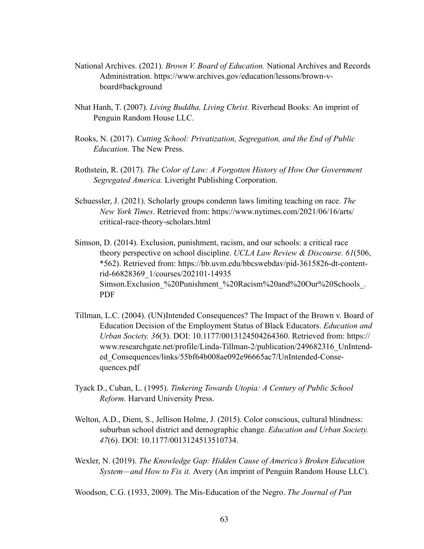- National Archives. (2021). *Brown V. Board of Education.* National Archives and Records Administration. https://www.archives.gov/education/lessons/brown-vboard#background
- Nhat Hanh, T. (2007). *Living Buddha, Living Christ.* Riverhead Books: An imprint of Penguin Random House LLC.
- Rooks, N. (2017). *Cutting School: Privatization, Segregation, and the End of Public Education.* The New Press.
- Rothstein, R. (2017). *The Color of Law: A Forgotten History of How Our Government Segregated America.* Liveright Publishing Corporation.
- Schuessler, J. (2021). Scholarly groups condemn laws limiting teaching on race. *The New York Times*. Retrieved from[: https://www.nytimes.com/2021/06/16/arts/](https://www.nytimes.com/2021/06/16/arts/) critical-race-theory-scholars.html
- Simson, D. (2014). Exclusion, punishment, racism, and our schools: a critical race theory perspective on school discipline. *UCLA Law Review & Discourse. 61*(506, \*562). Retrieved from[: https://bb.uvm.edu/bbcswebdav/pid-3615826-dt-content](https://bb.uvm.edu/bbcswebdav/pid-3615826-dt-content-) rid-66828369\_1/courses/202101-14935 Simson.Exclusion %20Punishment %20Racism%20and%20Our%20Schools. PDF
- Tillman, L.C. (2004). (UN)Intended Consequences? The Impact of the Brown v. Board of Education Decision of the Employment Status of Black Educators. *Education and Urban Society. 36*(3). DOI: 10.1177/0013124504264360. Retrieved from: https:// www.researchgate.net/profile/Linda-Tillman-2/publication/249682316\_UnIntended\_Consequences/links/55bf64b008ae092e96665ac7/UnIntended-Consequences.pdf
- Tyack D., Cuban, L. (1995). *Tinkering Towards Utopia: A Century of Public School Reform.* Harvard University Press.
- Welton, A.D., Diem, S., Jellison Holme, J. (2015). Color conscious, cultural blindness: suburban school district and demographic change. *Education and Urban Society. 47*(6). DOI: 10.1177/0013124513510734.
- Wexler, N. (2019). *The Knowledge Gap: Hidden Cause of America's Broken Education System—and How to Fix it.* Avery (An imprint of Penguin Random House LLC).

Woodson, C.G. (1933, 2009). The Mis-Education of the Negro. *The Journal of Pan*